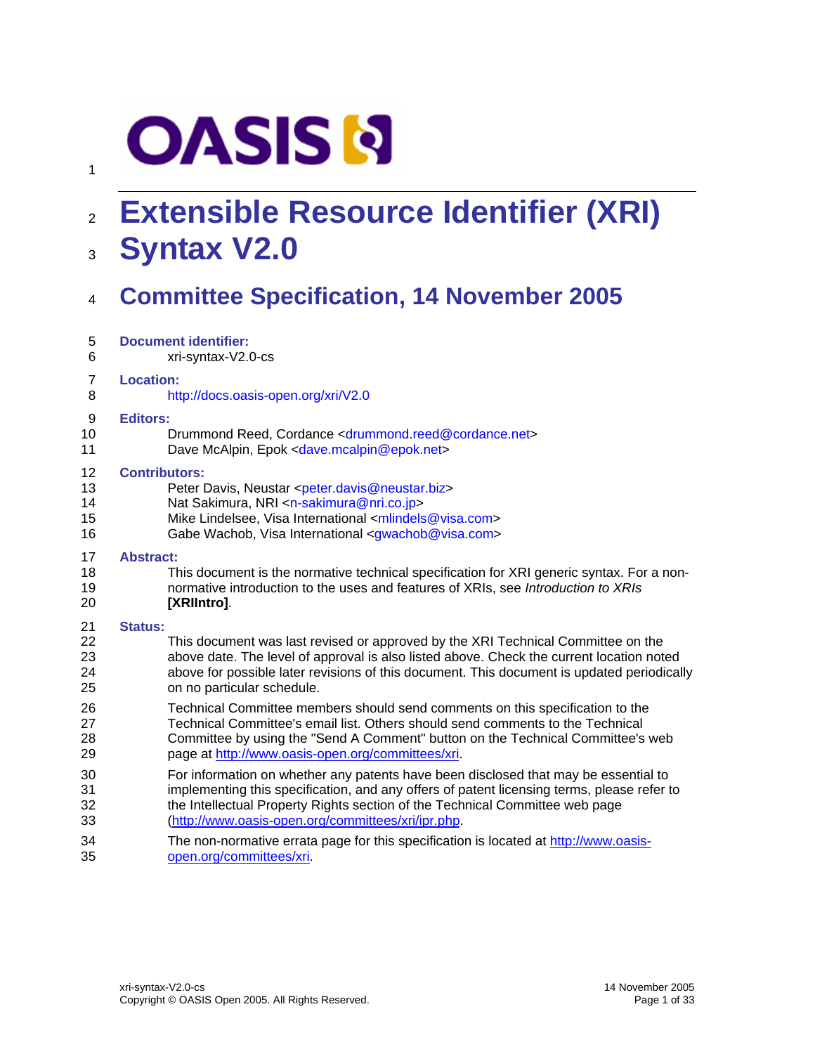# **OASIS N**

1

# <sup>2</sup>**Extensible Resource Identifier (XRI)**  3 **Syntax V2.0**

# 4 **Committee Specification, 14 November 2005**

| 5              | <b>Document identifier:</b>                                                                |
|----------------|--------------------------------------------------------------------------------------------|
| 6              | xri-syntax-V2.0-cs                                                                         |
| $\overline{7}$ | <b>Location:</b>                                                                           |
| 8              | http://docs.oasis-open.org/xri/V2.0                                                        |
| 9              | <b>Editors:</b>                                                                            |
| 10             | Drummond Reed, Cordance <drummond.reed@cordance.net></drummond.reed@cordance.net>          |
| 11             | Dave McAlpin, Epok <dave.mcalpin@epok.net></dave.mcalpin@epok.net>                         |
| 12             | <b>Contributors:</b>                                                                       |
| 13             | Peter Davis, Neustar <peter.davis@neustar.biz></peter.davis@neustar.biz>                   |
| 14             | Nat Sakimura, NRI <n-sakimura@nri.co.jp></n-sakimura@nri.co.jp>                            |
| 15             | Mike Lindelsee, Visa International <mlindels@visa.com></mlindels@visa.com>                 |
| 16             | Gabe Wachob, Visa International <gwachob@visa.com></gwachob@visa.com>                      |
| 17             | <b>Abstract:</b>                                                                           |
| 18             | This document is the normative technical specification for XRI generic syntax. For a non-  |
| 19             | normative introduction to the uses and features of XRIs, see Introduction to XRIs          |
| 20             | [XRIIntro].                                                                                |
| 21             | <b>Status:</b>                                                                             |
| 22             | This document was last revised or approved by the XRI Technical Committee on the           |
| 23             | above date. The level of approval is also listed above. Check the current location noted   |
| 24             | above for possible later revisions of this document. This document is updated periodically |
| 25             | on no particular schedule.                                                                 |
| 26             | Technical Committee members should send comments on this specification to the              |
| 27             | Technical Committee's email list. Others should send comments to the Technical             |
| 28             | Committee by using the "Send A Comment" button on the Technical Committee's web            |
| 29             | page at http://www.oasis-open.org/committees/xri.                                          |
| 30             | For information on whether any patents have been disclosed that may be essential to        |
| 31             | implementing this specification, and any offers of patent licensing terms, please refer to |
| 32             | the Intellectual Property Rights section of the Technical Committee web page               |
| 33             | (http://www.oasis-open.org/committees/xri/ipr.php.                                         |
| 34             | The non-normative errata page for this specification is located at http://www.oasis-       |
| 35             | open.org/committees/xri                                                                    |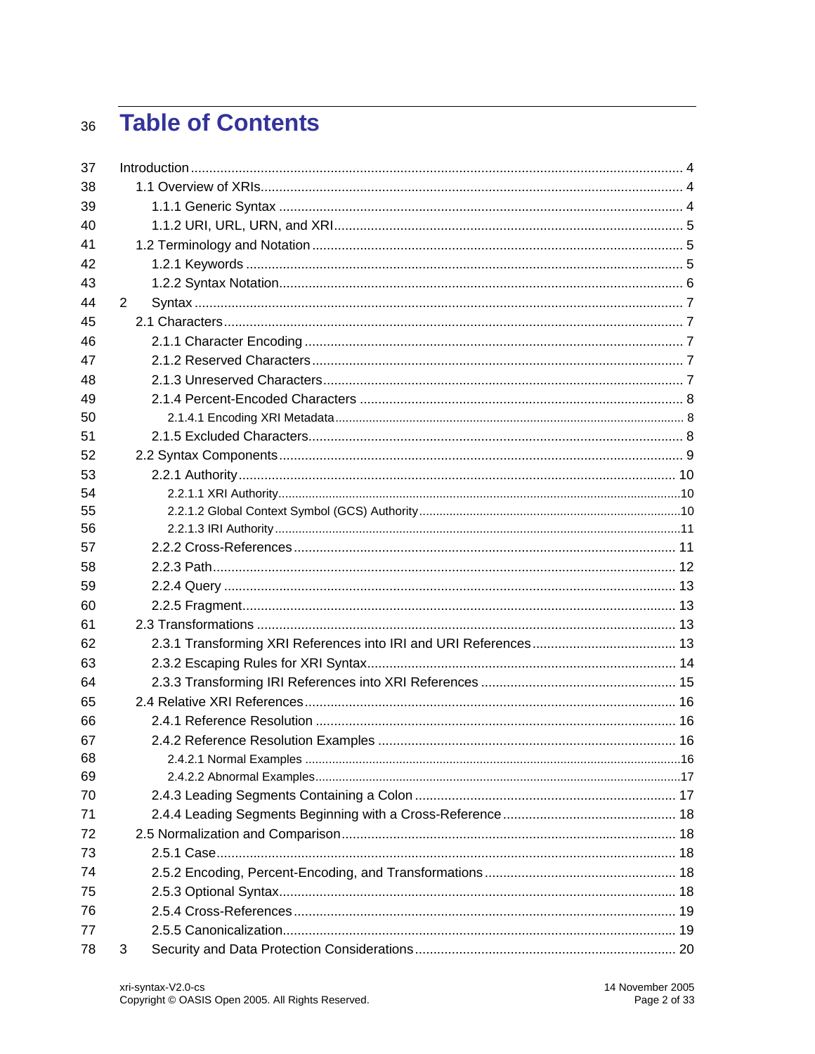# **Table of Contents** 36

| 37 |                |  |
|----|----------------|--|
| 38 |                |  |
| 39 |                |  |
| 40 |                |  |
| 41 |                |  |
| 42 |                |  |
| 43 |                |  |
| 44 | $\overline{2}$ |  |
| 45 |                |  |
| 46 |                |  |
| 47 |                |  |
| 48 |                |  |
| 49 |                |  |
| 50 |                |  |
| 51 |                |  |
| 52 |                |  |
| 53 |                |  |
| 54 |                |  |
| 55 |                |  |
| 56 |                |  |
| 57 |                |  |
| 58 |                |  |
| 59 |                |  |
| 60 |                |  |
| 61 |                |  |
| 62 |                |  |
| 63 |                |  |
| 64 |                |  |
| 65 |                |  |
| 66 |                |  |
| 67 |                |  |
| 68 |                |  |
| 69 |                |  |
| 70 |                |  |
| 71 |                |  |
| 72 |                |  |
| 73 |                |  |
| 74 |                |  |
| 75 |                |  |
| 76 |                |  |
| 77 |                |  |
| 78 | 3              |  |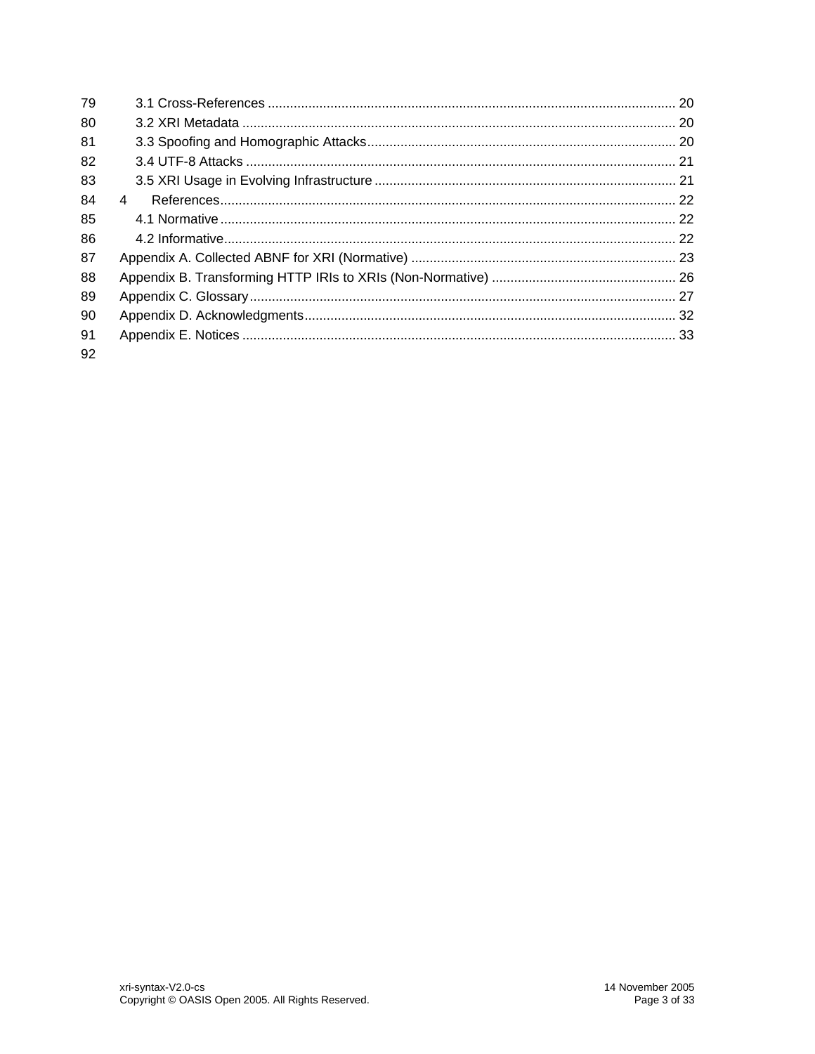| 79 |   |  |
|----|---|--|
| 80 |   |  |
| 81 |   |  |
| 82 |   |  |
| 83 |   |  |
| 84 | 4 |  |
| 85 |   |  |
| 86 |   |  |
| 87 |   |  |
| 88 |   |  |
| 89 |   |  |
| 90 |   |  |
| 91 |   |  |
| 92 |   |  |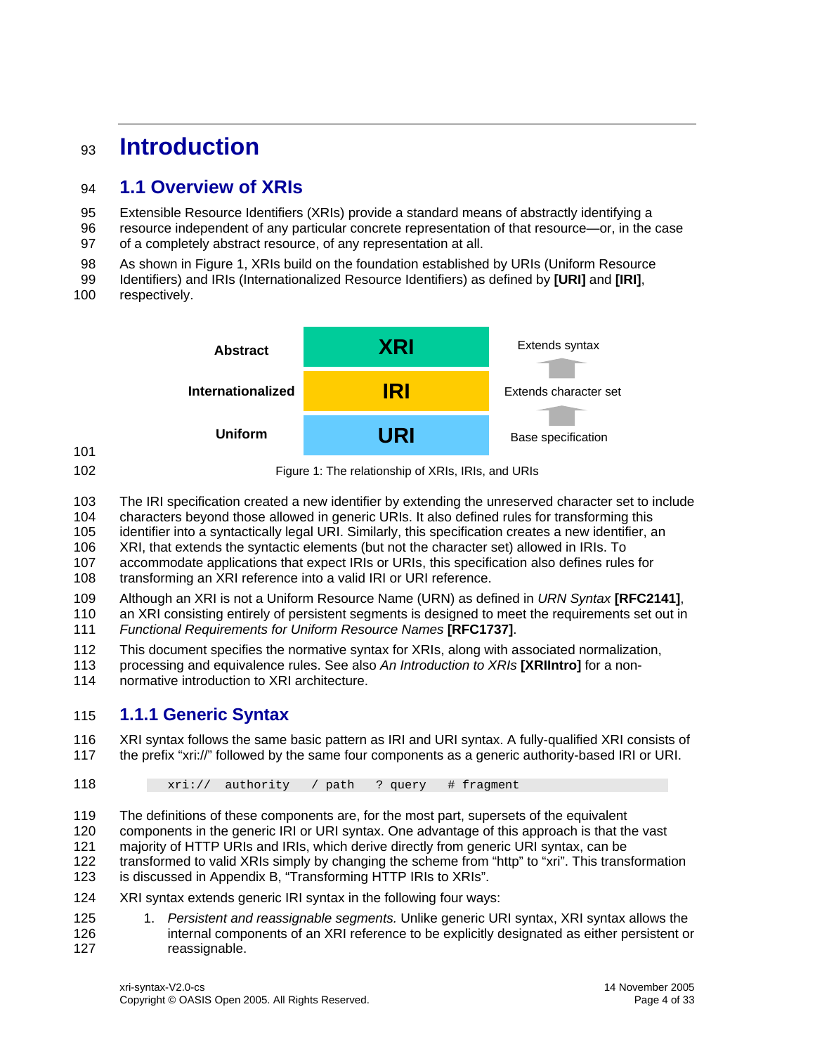# <span id="page-3-0"></span><sup>93</sup>**Introduction**

# 94 **1.1 Overview of XRIs**

95 Extensible Resource Identifiers (XRIs) provide a standard means of abstractly identifying a

- 96 97 resource independent of any particular concrete representation of that resource—or, in the case of a completely abstract resource, of any representation at all.
- 98 As shown in [Figure 1](#page-3-1), XRIs build on the foundation established by URIs (Uniform Resource
- 99 Identifiers) and IRIs (Internationalized Resource Identifiers) as defined by **[\[URI\]](#page-21-2)** and **[\[IRI\]](#page-21-3)**,
- 100 respectively.



<span id="page-3-1"></span>101 102

Figure 1: The relationship of XRIs, IRIs, and URIs

103 The IRI specification created a new identifier by extending the unreserved character set to include

104 characters beyond those allowed in generic URIs. It also defined rules for transforming this

105 identifier into a syntactically legal URI. Similarly, this specification creates a new identifier, an

106 XRI, that extends the syntactic elements (but not the character set) allowed in IRIs. To

107 accommodate applications that expect IRIs or URIs, this specification also defines rules for

108 transforming an XRI reference into a valid IRI or URI reference.

109 Although an XRI is not a Uniform Resource Name (URN) as defined in *URN Syntax* **[\[RFC2141\]](#page-21-4)**,

110 111 an XRI consisting entirely of persistent segments is designed to meet the requirements set out in *Functional Requirements for Uniform Resource Names* **[\[RFC1737\]](#page-21-5)**.

112 This document specifies the normative syntax for XRIs, along with associated normalization,

- 113 processing and equivalence rules. See also *An Introduction to XRIs* **[\[XRIIntro\]](#page-21-0)** for a non-
- 114 normative introduction to XRI architecture.

# 115 **1.1.1 Generic Syntax**

116 117 XRI syntax follows the same basic pattern as IRI and URI syntax. A fully-qualified XRI consists of the prefix "xri://" followed by the same four components as a generic authority-based IRI or URI.

### 118  $xri://$  authority / path ? query # fragment

119 120 121 122 123 The definitions of these components are, for the most part, supersets of the equivalent components in the generic IRI or URI syntax. One advantage of this approach is that the vast majority of HTTP URIs and IRIs, which derive directly from generic URI syntax, can be transformed to valid XRIs simply by changing the scheme from "http" to "xri". This transformation is discussed in Appendix B, "Transforming HTTP IRIs to XRIs".

- 124 XRI syntax extends generic IRI syntax in the following four ways:
- 125 126 127 1. *Persistent and reassignable segments.* Unlike generic URI syntax, XRI syntax allows the internal components of an XRI reference to be explicitly designated as either persistent or reassignable.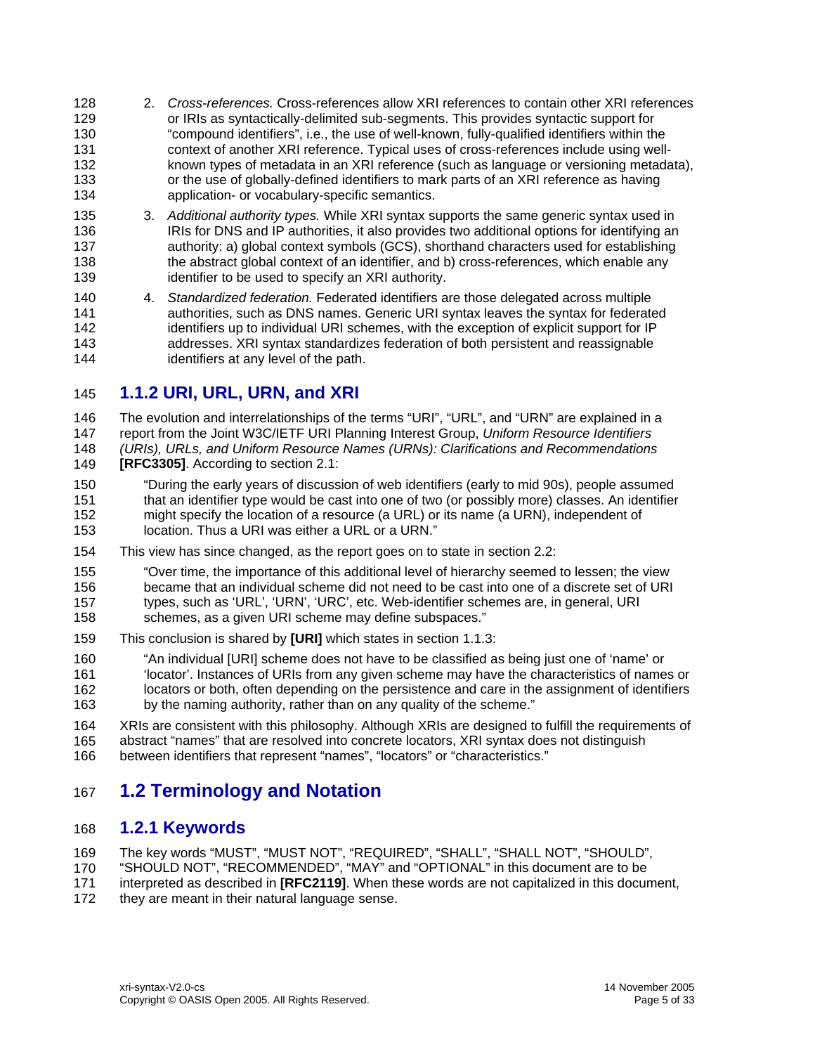- <span id="page-4-0"></span>128 129 130 131 132 133 134 2. *Cross-references.* Cross-references allow XRI references to contain other XRI references or IRIs as syntactically-delimited sub-segments. This provides syntactic support for "compound identifiers", i.e., the use of well-known, fully-qualified identifiers within the context of another XRI reference. Typical uses of cross-references include using wellknown types of metadata in an XRI reference (such as language or versioning metadata), or the use of globally-defined identifiers to mark parts of an XRI reference as having application- or vocabulary-specific semantics.
- 135 136 137 138 139 3. *Additional authority types.* While XRI syntax supports the same generic syntax used in IRIs for DNS and IP authorities, it also provides two additional options for identifying an authority: a) global context symbols (GCS), shorthand characters used for establishing the abstract global context of an identifier, and b) cross-references, which enable any identifier to be used to specify an XRI authority.

140 141 142 143 144 4. *Standardized federation.* Federated identifiers are those delegated across multiple authorities, such as DNS names. Generic URI syntax leaves the syntax for federated identifiers up to individual URI schemes, with the exception of explicit support for IP addresses. XRI syntax standardizes federation of both persistent and reassignable identifiers at any level of the path.

# 145 **1.1.2 URI, URL, URN, and XRI**

146 147 148 The evolution and interrelationships of the terms "URI", "URL", and "URN" are explained in a report from the Joint W3C/IETF URI Planning Interest Group, *Uniform Resource Identifiers (URIs), URLs, and Uniform Resource Names (URNs): Clarifications and Recommendations* 

149 **[\[RFC3305\]](#page-21-6)**. According to section 2.1:

- 150 151 152 153 "During the early years of discussion of web identifiers (early to mid 90s), people assumed that an identifier type would be cast into one of two (or possibly more) classes. An identifier might specify the location of a resource (a URL) or its name (a URN), independent of location. Thus a URI was either a URL or a URN."
- 154 This view has since changed, as the report goes on to state in section 2.2:
- 155 156 157 158 "Over time, the importance of this additional level of hierarchy seemed to lessen; the view became that an individual scheme did not need to be cast into one of a discrete set of URI types, such as 'URL', 'URN', 'URC', etc. Web-identifier schemes are, in general, URI schemes, as a given URI scheme may define subspaces."
- 159 This conclusion is shared by **[\[URI\]](#page-21-2)** which states in section 1.1.3:
- 160 161 162 "An individual [URI] scheme does not have to be classified as being just one of 'name' or 'locator'. Instances of URIs from any given scheme may have the characteristics of names or locators or both, often depending on the persistence and care in the assignment of identifiers
- 163 by the naming authority, rather than on any quality of the scheme."

164 165 166 XRIs are consistent with this philosophy. Although XRIs are designed to fulfill the requirements of abstract "names" that are resolved into concrete locators, XRI syntax does not distinguish between identifiers that represent "names", "locators" or "characteristics."

# 167 **1.2 Terminology and Notation**

# 168 **1.2.1 Keywords**

169 The key words "MUST", "MUST NOT", "REQUIRED", "SHALL", "SHALL NOT", "SHOULD",

170 "SHOULD NOT", "RECOMMENDED", "MAY" and "OPTIONAL" in this document are to be

171 interpreted as described in **[\[RFC2119\]](#page-21-7)**. When these words are not capitalized in this document,

172 they are meant in their natural language sense.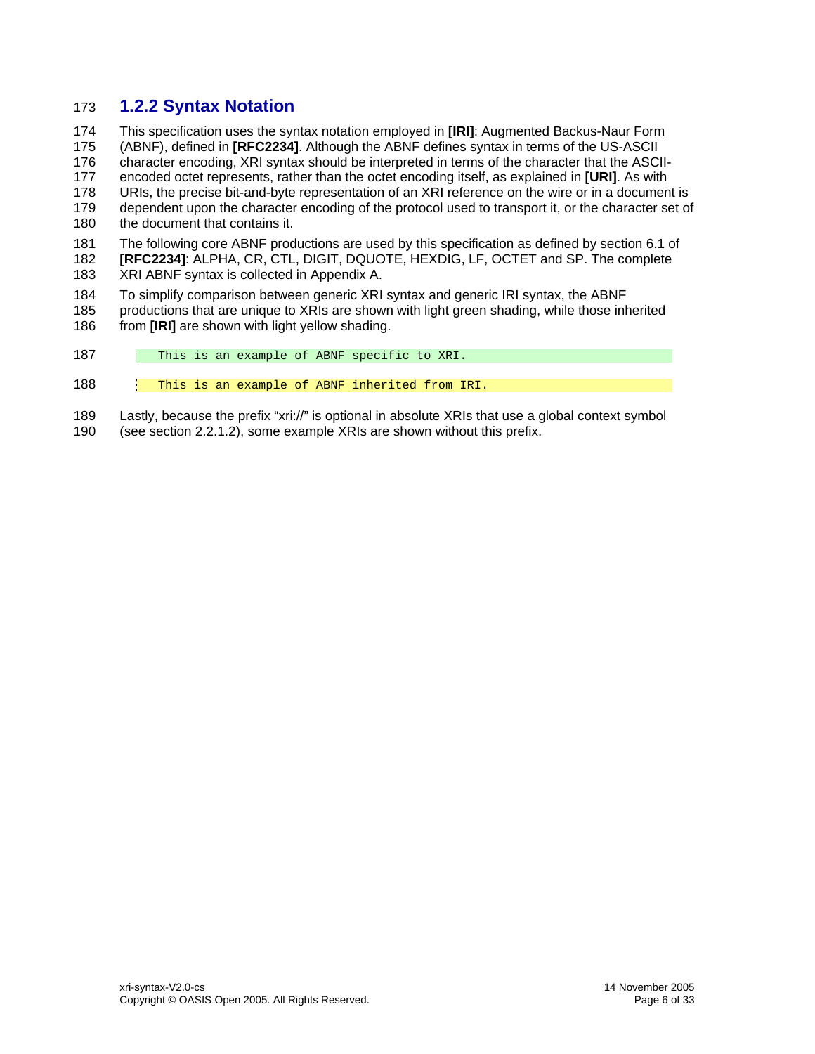# <span id="page-5-0"></span>173 **1.2.2 Syntax Notation**

174 This specification uses the syntax notation employed in **[\[IRI\]](#page-21-3)**: Augmented Backus-Naur Form

175 (ABNF), defined in **[\[RFC2234\]](#page-21-8)**. Although the ABNF defines syntax in terms of the US-ASCII

176 character encoding, XRI syntax should be interpreted in terms of the character that the ASCII-

177 178 encoded octet represents, rather than the octet encoding itself, as explained in **[\[URI\]](#page-21-2)**. As with URIs, the precise bit-and-byte representation of an XRI reference on the wire or in a document is

179 dependent upon the character encoding of the protocol used to transport it, or the character set of

180 the document that contains it.

181 182 The following core ABNF productions are used by this specification as defined by section 6.1 of **[RFC2234]**: ALPHA, CR, CTL, DIGIT, DQUOTE, HEXDIG, LF, OCTET and SP. The complete

183 XRI ABNF syntax is collected in [Appendix A](#page-22-1).

184 To simplify comparison between generic XRI syntax and generic IRI syntax, the ABNF

- 185 186 productions that are unique to XRIs are shown with light green shading, while those inherited from **[\[IRI\]](#page-21-3)** are shown with light yellow shading.
- 187 | This is an example of ABNF specific to XRI.

188 This is an example of ABNF inherited from IRI.

189 Lastly, because the prefix "xri://" is optional in absolute XRIs that use a global context symbol

190 (see section [2.2.1.2](#page-9-1)), some example XRIs are shown without this prefix.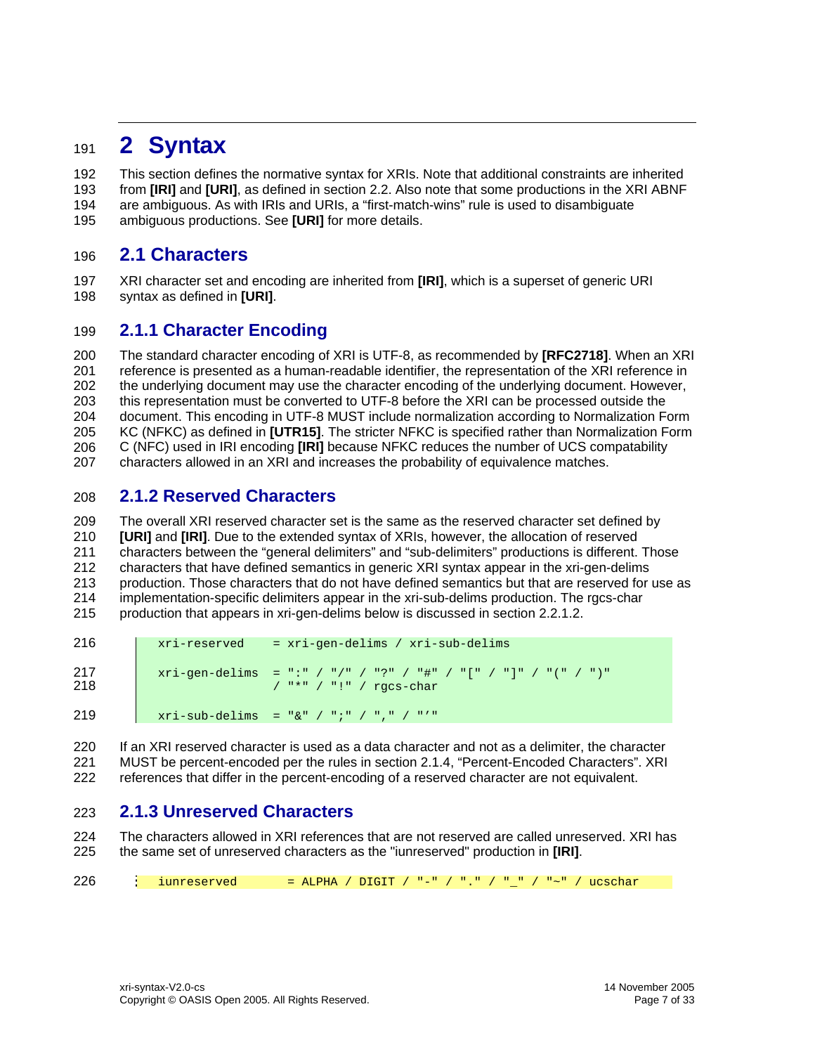# <span id="page-6-0"></span><sup>191</sup>**2 Syntax**

192 193 194 195 This section defines the normative syntax for XRIs. Note that additional constraints are inherited from **[\[IRI\]](#page-21-3)** and **[\[URI\]](#page-21-2)**, as defined in section [2.2.](#page-8-1) Also note that some productions in the XRI ABNF are ambiguous. As with IRIs and URIs, a "first-match-wins" rule is used to disambiguate ambiguous productions. See **[\[URI\]](#page-21-2)** for more details.

# 196 **2.1 Characters**

197 198 XRI character set and encoding are inherited from **[\[IRI\]](#page-21-3)**, which is a superset of generic URI syntax as defined in **[\[URI\]](#page-21-2)**.

# 199 **2.1.1 Character Encoding**

200 201 202 203 204 205 206 207 The standard character encoding of XRI is UTF-8, as recommended by **[\[RFC2718\]](#page-21-9)**. When an XRI reference is presented as a human-readable identifier, the representation of the XRI reference in the underlying document may use the character encoding of the underlying document. However, this representation must be converted to UTF-8 before the XRI can be processed outside the document. This encoding in UTF-8 MUST include normalization according to Normalization Form KC (NFKC) as defined in **[\[UTR15\]](#page-21-10)**. The stricter NFKC is specified rather than Normalization Form C (NFC) used in IRI encoding **[\[IRI\]](#page-21-3)** because NFKC reduces the number of UCS compatability characters allowed in an XRI and increases the probability of equivalence matches.

# <span id="page-6-1"></span>208 **2.1.2 Reserved Characters**

209 210 211 212 213 214 215 The overall XRI reserved character set is the same as the reserved character set defined by **[\[URI\]](#page-21-2)** and **[\[IRI\]](#page-21-3)**. Due to the extended syntax of XRIs, however, the allocation of reserved characters between the "general delimiters" and "sub-delimiters" productions is different. Those characters that have defined semantics in generic XRI syntax appear in the xri-gen-delims production. Those characters that do not have defined semantics but that are reserved for use as implementation-specific delimiters appear in the xri-sub-delims production. The rgcs-char production that appears in xri-gen-delims below is discussed in section [2.2.1.2.](#page-9-1)

| 216        | $xri-reserved = xri-qen-delims / xri-sub-delims$                                                                                                                                                                                                                                                                                                                                           |
|------------|--------------------------------------------------------------------------------------------------------------------------------------------------------------------------------------------------------------------------------------------------------------------------------------------------------------------------------------------------------------------------------------------|
| 217<br>218 | $xri-qen-delims = "(" / "/" / "?" / "#" / "[" / "] " / "/ " / "/")$<br>$\frac{1}{2}$ $\frac{1}{2}$ $\frac{1}{2}$ $\frac{1}{2}$ $\frac{1}{2}$ $\frac{1}{2}$ $\frac{1}{2}$ $\frac{1}{2}$ $\frac{1}{2}$ $\frac{1}{2}$ $\frac{1}{2}$ $\frac{1}{2}$ $\frac{1}{2}$ $\frac{1}{2}$ $\frac{1}{2}$ $\frac{1}{2}$ $\frac{1}{2}$ $\frac{1}{2}$ $\frac{1}{2}$ $\frac{1}{2}$ $\frac{1}{2}$ $\frac{1}{2}$ |
| 219        | $xri-sub-delims = "&" / "i" / "i" / "i"$                                                                                                                                                                                                                                                                                                                                                   |

220 221 222 If an XRI reserved character is used as a data character and not as a delimiter, the character MUST be percent-encoded per the rules in section [2.1.4](#page-7-1), "Percent-Encoded Characters". XRI references that differ in the percent-encoding of a reserved character are not equivalent.

# 223 **2.1.3 Unreserved Characters**

224 225 The characters allowed in XRI references that are not reserved are called unreserved. XRI has the same set of unreserved characters as the "iunreserved" production in **[\[IRI\]](#page-21-3)**.

226 iunreserved = ALPHA / DIGIT / "-" / "-" / "~" / ucschar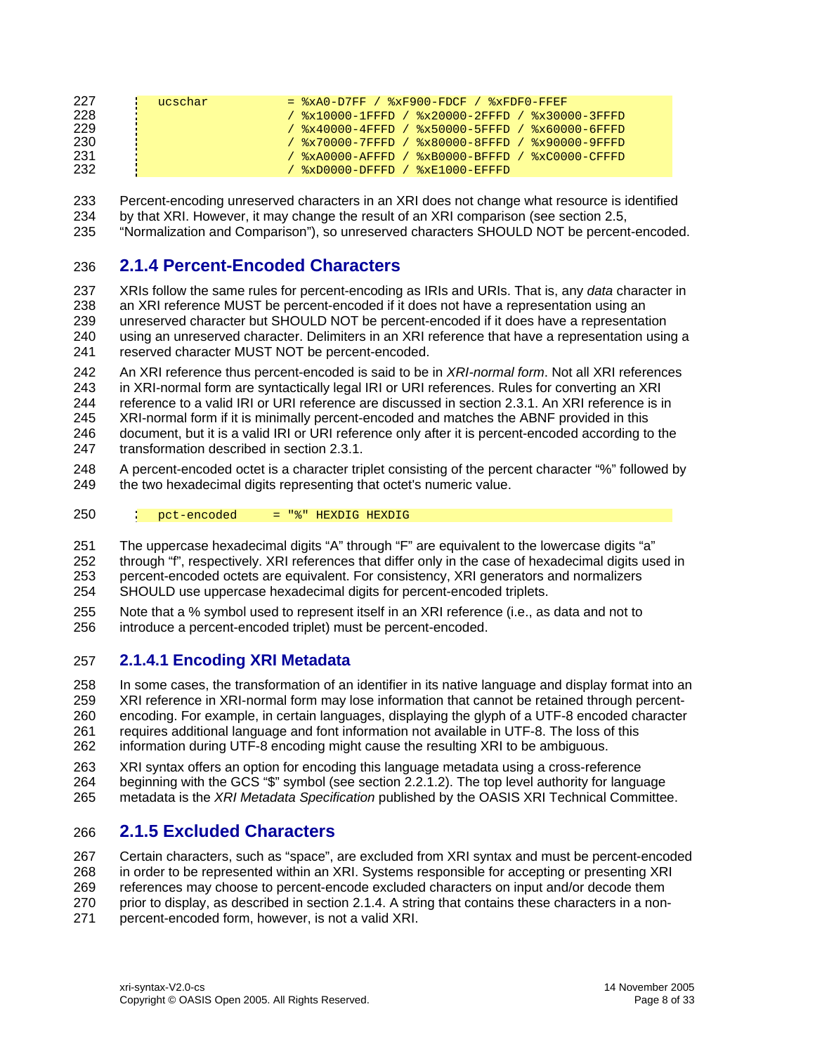<span id="page-7-0"></span>

| 227 | ucschar | $=$ $xA0-D7FF$ / $xF900-FDCF$ / $xFDF0-FFFF$                                                                                                                                                                                                                                                                          |
|-----|---------|-----------------------------------------------------------------------------------------------------------------------------------------------------------------------------------------------------------------------------------------------------------------------------------------------------------------------|
| 228 |         | / %x10000-1FFFD / %x20000-2FFFD / %x30000-3FFFD                                                                                                                                                                                                                                                                       |
| 229 |         | / %x40000-4FFFD / %x50000-5FFFD / %x60000-6FFFD                                                                                                                                                                                                                                                                       |
| 230 |         | / %x70000-7FFFD / %x80000-8FFFD / %x90000-9FFFD                                                                                                                                                                                                                                                                       |
| 231 |         | / $\frac{1}{8}$ $\frac{1}{8}$ $\frac{1}{8}$ $\frac{1}{8}$ $\frac{1}{8}$ $\frac{1}{8}$ $\frac{1}{8}$ $\frac{1}{8}$ $\frac{1}{8}$ $\frac{1}{8}$ $\frac{1}{8}$ $\frac{1}{8}$ $\frac{1}{8}$ $\frac{1}{8}$ $\frac{1}{8}$ $\frac{1}{8}$ $\frac{1}{8}$ $\frac{1}{8}$ $\frac{1}{8}$ $\frac{1}{8}$ $\frac{1}{8}$ $\frac{1}{8}$ |
| 232 |         | / $\frac{1}{2}$ $\frac{1}{2}$ $\frac{1}{2}$ $\frac{1}{2}$ $\frac{1}{2}$ $\frac{1}{2}$ $\frac{1}{2}$ $\frac{1}{2}$ $\frac{1}{2}$ $\frac{1}{2}$ $\frac{1}{2}$ $\frac{1}{2}$ $\frac{1}{2}$ $\frac{1}{2}$ $\frac{1}{2}$ $\frac{1}{2}$ $\frac{1}{2}$ $\frac{1}{2}$ $\frac{1}{2}$ $\frac{1}{2}$ $\frac{1}{2}$ $\frac{1}{2}$ |

233 234 235 Percent-encoding unreserved characters in an XRI does not change what resource is identified by that XRI. However, it may change the result of an XRI comparison (see section [2.5,](#page-17-1) "Normalization and Comparison"), so unreserved characters SHOULD NOT be percent-encoded.

# <span id="page-7-1"></span>236 **2.1.4 Percent-Encoded Characters**

237 238 239 240 241 XRIs follow the same rules for percent-encoding as IRIs and URIs. That is, any *data* character in an XRI reference MUST be percent-encoded if it does not have a representation using an unreserved character but SHOULD NOT be percent-encoded if it does have a representation using an unreserved character. Delimiters in an XRI reference that have a representation using a reserved character MUST NOT be percent-encoded.

242 243 244 245 246 247 An XRI reference thus percent-encoded is said to be in *XRI-normal form*. Not all XRI references in XRI-normal form are syntactically legal IRI or URI references. Rules for converting an XRI reference to a valid IRI or URI reference are discussed in section [2.3.1.](#page-12-1) An XRI reference is in XRI-normal form if it is minimally percent-encoded and matches the ABNF provided in this document, but it is a valid IRI or URI reference only after it is percent-encoded according to the transformation described in section [2.3.1](#page-12-1).

248 249 A percent-encoded octet is a character triplet consisting of the percent character "%" followed by the two hexadecimal digits representing that octet's numeric value.

250 pct-encoded = "%" HEXDIG HEXDIG

251 The uppercase hexadecimal digits "A" through "F" are equivalent to the lowercase digits "a"

- 252 253 254 through "f", respectively. XRI references that differ only in the case of hexadecimal digits used in percent-encoded octets are equivalent. For consistency, XRI generators and normalizers SHOULD use uppercase hexadecimal digits for percent-encoded triplets.
- 
- 255 256 Note that a % symbol used to represent itself in an XRI reference (i.e., as data and not to introduce a percent-encoded triplet) must be percent-encoded.

# <span id="page-7-2"></span>257 **2.1.4.1 Encoding XRI Metadata**

258 259 260 261 262 In some cases, the transformation of an identifier in its native language and display format into an XRI reference in XRI-normal form may lose information that cannot be retained through percentencoding. For example, in certain languages, displaying the glyph of a UTF-8 encoded character requires additional language and font information not available in UTF-8. The loss of this information during UTF-8 encoding might cause the resulting XRI to be ambiguous.

- 263 264 XRI syntax offers an option for encoding this language metadata using a cross-reference beginning with the GCS "\$" symbol (see section [2.2.1.2\)](#page-9-1). The top level authority for language
- 265 metadata is the *XRI Metadata Specification* published by the OASIS XRI Technical Committee.

# 266 **2.1.5 Excluded Characters**

267 268 269 270 271 Certain characters, such as "space", are excluded from XRI syntax and must be percent-encoded in order to be represented within an XRI. Systems responsible for accepting or presenting XRI references may choose to percent-encode excluded characters on input and/or decode them prior to display, as described in section [2.1.4](#page-7-1). A string that contains these characters in a nonpercent-encoded form, however, is not a valid XRI.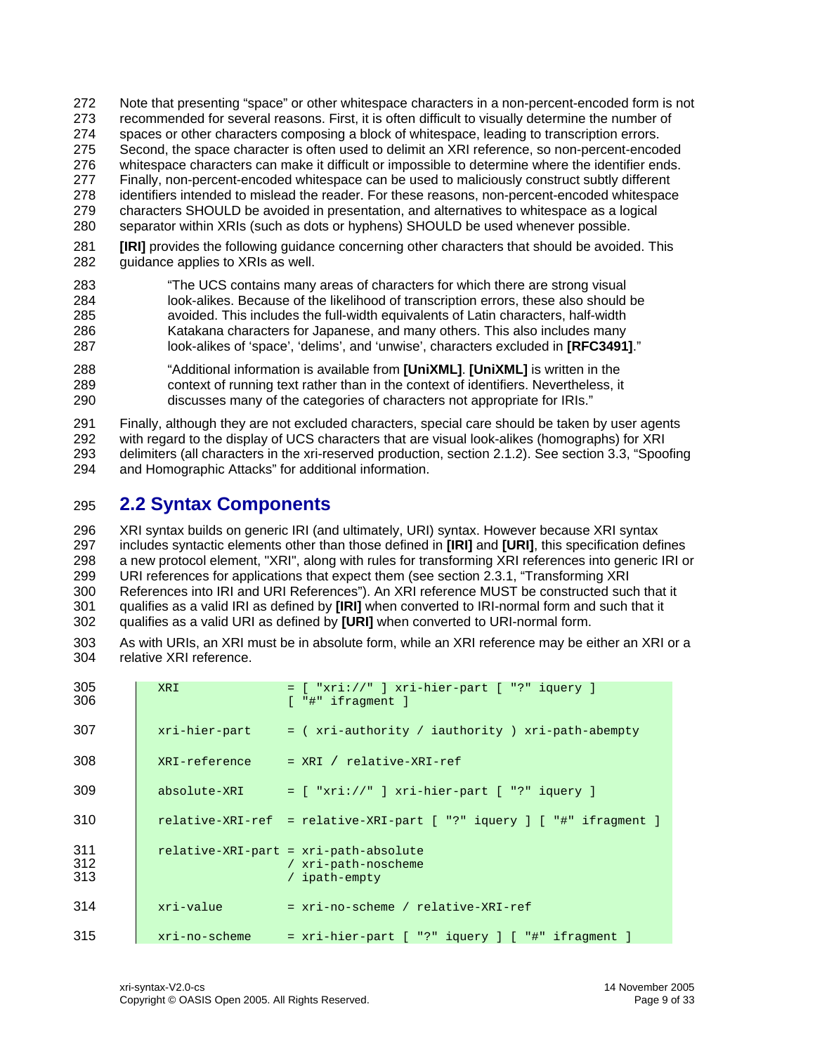- <span id="page-8-0"></span>272 Note that presenting "space" or other whitespace characters in a non-percent-encoded form is not
- 273 recommended for several reasons. First, it is often difficult to visually determine the number of
- 274 spaces or other characters composing a block of whitespace, leading to transcription errors.
- 275 Second, the space character is often used to delimit an XRI reference, so non-percent-encoded
- 276 277 whitespace characters can make it difficult or impossible to determine where the identifier ends. Finally, non-percent-encoded whitespace can be used to maliciously construct subtly different
- 278 identifiers intended to mislead the reader. For these reasons, non-percent-encoded whitespace
- 279 characters SHOULD be avoided in presentation, and alternatives to whitespace as a logical
- 280 separator within XRIs (such as dots or hyphens) SHOULD be used whenever possible.
- 281 282 **[\[IRI\]](#page-21-3)** provides the following guidance concerning other characters that should be avoided. This guidance applies to XRIs as well.
- 283 284 285 286 287 "The UCS contains many areas of characters for which there are strong visual look-alikes. Because of the likelihood of transcription errors, these also should be avoided. This includes the full-width equivalents of Latin characters, half-width Katakana characters for Japanese, and many others. This also includes many look-alikes of 'space', 'delims', and 'unwise', characters excluded in **[\[RFC3491\]](#page-21-11)**."
- 288 289 290 "Additional information is available from **[\[UniXML\]](#page-21-12)**. **[\[UniXML\]](#page-21-12)** is written in the context of running text rather than in the context of identifiers. Nevertheless, it discusses many of the categories of characters not appropriate for IRIs."

291 292 293 294 Finally, although they are not excluded characters, special care should be taken by user agents with regard to the display of UCS characters that are visual look-alikes (homographs) for XRI delimiters (all characters in the xri-reserved production, section [2.1.2\)](#page-6-1). See section [3.3,](#page-19-1) "[Spoofing](#page-19-1)  [and Homographic Attacks"](#page-19-1) for additional information.

# <span id="page-8-1"></span>295 **2.2 Syntax Components**

296 297 298 299 300 301 302 XRI syntax builds on generic IRI (and ultimately, URI) syntax. However because XRI syntax includes syntactic elements other than those defined in **[\[IRI\]](#page-21-3)** and **[\[URI\]](#page-21-2)**, this specification defines a new protocol element, "XRI", along with rules for transforming XRI references into generic IRI or URI references for applications that expect them (see section [2.3.1,](#page-12-1) "Transforming XRI References into IRI and URI References"). An XRI reference MUST be constructed such that it qualifies as a valid IRI as defined by **[\[IRI\]](#page-21-3)** when converted to IRI-normal form and such that it qualifies as a valid URI as defined by **[\[URI\]](#page-21-2)** when converted to URI-normal form.

303 304 As with URIs, an XRI must be in absolute form, while an XRI reference may be either an XRI or a relative XRI reference.

| 305<br>306        | <b>XRI</b>    | $=$ [ "xri://" ] xri-hier-part [ "?" iquery ]<br>$[$ "#" ifraqment $]$        |
|-------------------|---------------|-------------------------------------------------------------------------------|
| 307               |               | $xri-hier-part$ = ( $xri-authority / iauthority$ ) $xri-path-abempty$         |
| 308               |               | $XRI-reference = XRI / relative-XRI-ref$                                      |
| 309               |               | absolute-XRI = $[$ "xri://" $]$ xri-hier-part $[$ "?" iquery $]$              |
| 310               |               | relative-XRI-ref = relative-XRI-part [ "?" iquery ] [ "#" ifragment ]         |
| 311<br>312<br>313 |               | relative-XRI-part = xri-path-absolute<br>/ xri-path-noscheme<br>/ ipath-empty |
| 314               | xri-value     | = xri-no-scheme / relative-XRI-ref                                            |
| 315               | xri-no-scheme | $= xri-hier-part$ $[$ "?" iquery $]$ $[$ "#" ifraqment $]$                    |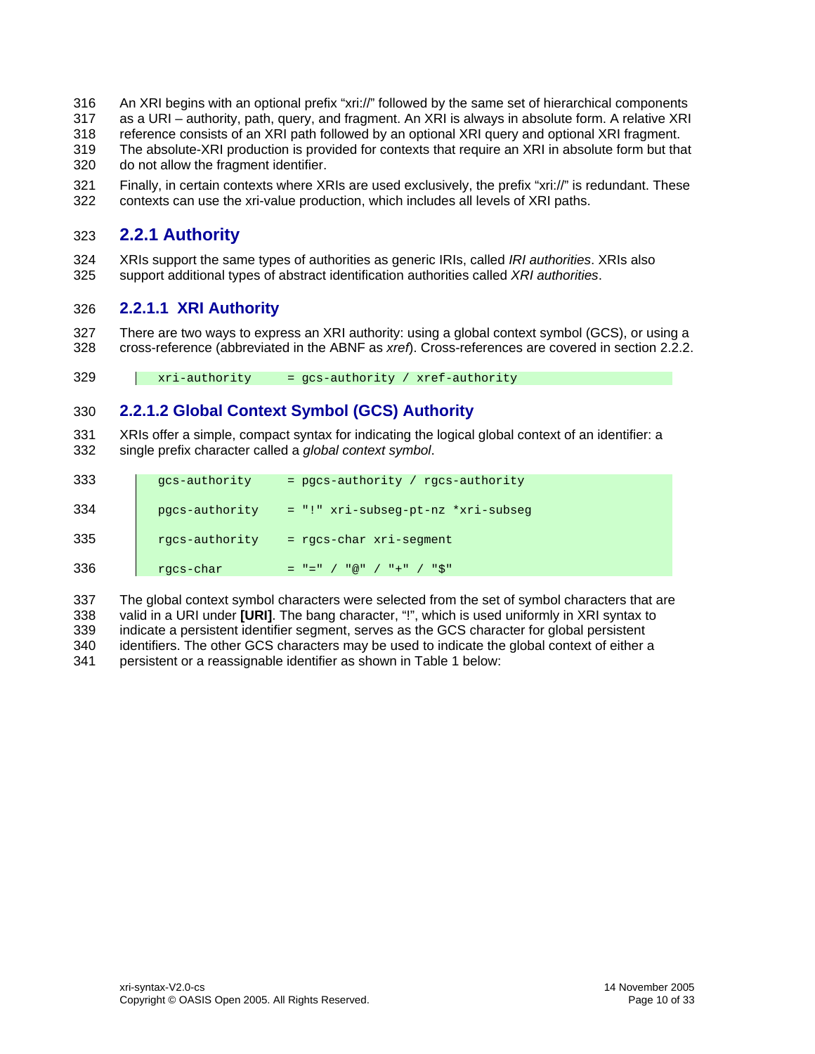- <span id="page-9-0"></span>316 An XRI begins with an optional prefix "xri://" followed by the same set of hierarchical components
- 317 as a URI – authority, path, query, and fragment. An XRI is always in absolute form. A relative XRI
- 318 reference consists of an XRI path followed by an optional XRI query and optional XRI fragment.
- 319 320 The absolute-XRI production is provided for contexts that require an XRI in absolute form but that do not allow the fragment identifier.
- 321 322 Finally, in certain contexts where XRIs are used exclusively, the prefix "xri://" is redundant. These contexts can use the xri-value production, which includes all levels of XRI paths.

# <span id="page-9-2"></span>323 **2.2.1 Authority**

324 325 XRIs support the same types of authorities as generic IRIs, called *IRI authorities*. XRIs also support additional types of abstract identification authorities called *XRI authorities*.

# <span id="page-9-3"></span>326 **2.2.1.1 XRI Authority**

327 328 There are two ways to express an XRI authority: using a global context symbol (GCS), or using a cross-reference (abbreviated in the ABNF as *xref*). Cross-references are covered in section [2.2.2](#page-10-1).

329 xri-authority = gcs-authority / xref-authority

# 330 **2.2.1.2 Global Context Symbol (GCS) Authority**

<span id="page-9-1"></span>331 332 XRIs offer a simple, compact syntax for indicating the logical global context of an identifier: a single prefix character called a *global context symbol*.

| 333 | qcs-authority  | = pgcs-authority / rgcs-authority  |
|-----|----------------|------------------------------------|
| 334 | pgcs-authority | = "!" xri-subseg-pt-nz *xri-subseg |
| 335 | rgcs-authority | $=$ rgcs-char $xri$ -segment       |
| 336 | rgcs-char      | $=$ " $=$ " / "@" / "+" / "\$"     |

337 338 339 340 341 The global context symbol characters were selected from the set of symbol characters that are valid in a URI under **[\[URI\]](#page-21-2)**. The bang character, "!", which is used uniformly in XRI syntax to indicate a persistent identifier segment, serves as the GCS character for global persistent identifiers. The other GCS characters may be used to indicate the global context of either a persistent or a reassignable identifier as shown in Table 1 below: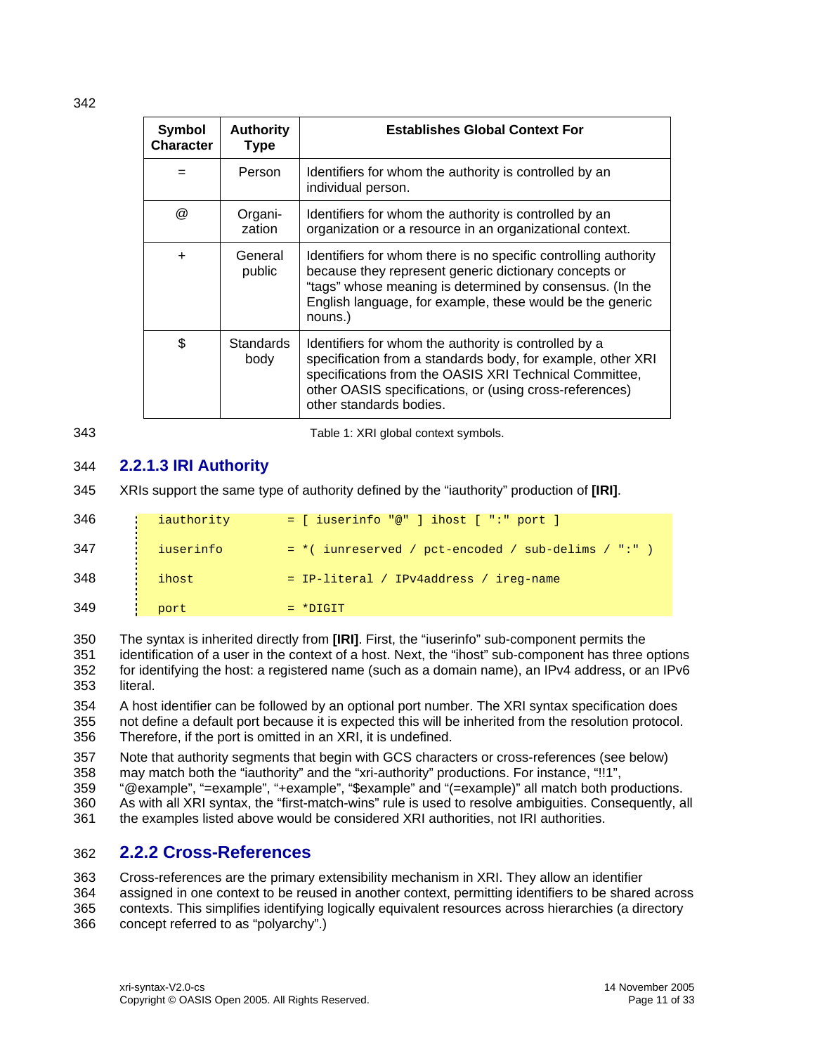<span id="page-10-0"></span>342

| <b>Symbol</b><br><b>Character</b> | <b>Authority</b><br><b>Type</b> | <b>Establishes Global Context For</b>                                                                                                                                                                                                                                |  |
|-----------------------------------|---------------------------------|----------------------------------------------------------------------------------------------------------------------------------------------------------------------------------------------------------------------------------------------------------------------|--|
|                                   | Person                          | Identifiers for whom the authority is controlled by an<br>individual person.                                                                                                                                                                                         |  |
| @                                 | Organi-<br>zation               | Identifiers for whom the authority is controlled by an<br>organization or a resource in an organizational context.                                                                                                                                                   |  |
| $\ddot{}$                         | General<br>public               | Identifiers for whom there is no specific controlling authority<br>because they represent generic dictionary concepts or<br>"tags" whose meaning is determined by consensus. (In the<br>English language, for example, these would be the generic<br>nouns.)         |  |
| \$                                | <b>Standards</b><br>body        | Identifiers for whom the authority is controlled by a<br>specification from a standards body, for example, other XRI<br>specifications from the OASIS XRI Technical Committee,<br>other OASIS specifications, or (using cross-references)<br>other standards bodies. |  |

<span id="page-10-3"></span>343

Table 1: XRI global context symbols.

# 344 **2.2.1.3 IRI Authority**

<span id="page-10-2"></span>345 XRIs support the same type of authority defined by the "iauthority" production of **[\[IRI\]](#page-21-3)**.

| 346 | iauthority | $=$ [ iuserinfo "@" ] ihost [ ":" port ]              |
|-----|------------|-------------------------------------------------------|
| 347 | iuserinfo  | $=$ *( iunreserved / pct-encoded / sub-delims / ":" ) |
| 348 | ihost      | = IP-literal / IPv4address / ireq-name                |
| 349 | port       | $= *DTGIT$                                            |

350 351 352 353 The syntax is inherited directly from **[\[IRI\]](#page-21-3)**. First, the "iuserinfo" sub-component permits the identification of a user in the context of a host. Next, the "ihost" sub-component has three options for identifying the host: a registered name (such as a domain name), an IPv4 address, or an IPv6 literal.

354 355 356 A host identifier can be followed by an optional port number. The XRI syntax specification does not define a default port because it is expected this will be inherited from the resolution protocol. Therefore, if the port is omitted in an XRI, it is undefined.

357 358 Note that authority segments that begin with GCS characters or cross-references (see below) may match both the "iauthority" and the "xri-authority" productions. For instance, "!!1",

- 359 "@example", "=example", "+example", "\$example" and "(=example)" all match both productions.
- 360 As with all XRI syntax, the "first-match-wins" rule is used to resolve ambiguities. Consequently, all
- 361 the examples listed above would be considered XRI authorities, not IRI authorities.

# <span id="page-10-1"></span>362 **2.2.2 Cross-References**

363 364 Cross-references are the primary extensibility mechanism in XRI. They allow an identifier

- 365 assigned in one context to be reused in another context, permitting identifiers to be shared across contexts. This simplifies identifying logically equivalent resources across hierarchies (a directory
- 366 concept referred to as "polyarchy".)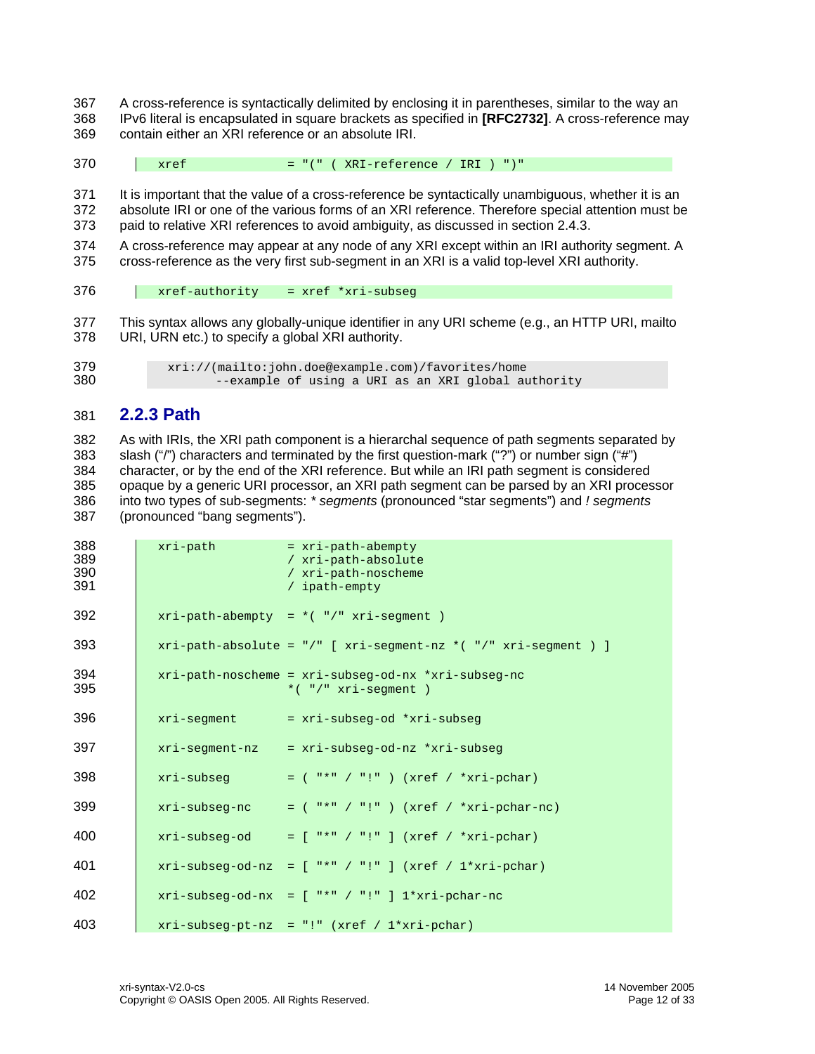- <span id="page-11-0"></span>A cross-reference is syntactically delimited by enclosing it in parentheses, similar to the way an IPv6 literal is encapsulated in square brackets as specified in **[\[RFC2732\]](#page-21-13)**. A cross-reference may contain either an XRI reference or an absolute IRI.
- $xref = "(" ( XRI-reference / IRI ) ")"$

 It is important that the value of a cross-reference be syntactically unambiguous, whether it is an absolute IRI or one of the various forms of an XRI reference. Therefore special attention must be paid to relative XRI references to avoid ambiguity, as discussed in section [2.4.3](#page-16-1).

- A cross-reference may appear at any node of any XRI except within an IRI authority segment. A cross-reference as the very first sub-segment in an XRI is a valid top-level XRI authority.
- xref-authority = xref \*xri-subseg
- This syntax allows any globally-unique identifier in any URI scheme (e.g., an HTTP URI, mailto URI, URN etc.) to specify a global XRI authority.
- xri://(mailto:john.doe@example.com)/favorites/home --example of using a URI as an XRI global authority

# **2.2.3 Path**

<span id="page-11-1"></span> As with IRIs, the XRI path component is a hierarchal sequence of path segments separated by slash ("/") characters and terminated by the first question-mark ("?") or number sign ("#") character, or by the end of the XRI reference. But while an IRI path segment is considered opaque by a generic URI processor, an XRI path segment can be parsed by an XRI processor into two types of sub-segments: *\* segments* (pronounced "star segments") and *! segments* (pronounced "bang segments").

| 388<br>389<br>390<br>391 | xri-path      | $= xri-path-abempty$<br>/ xri-path-absolute<br>/ xri-path-noscheme<br>/ ipath-empty |
|--------------------------|---------------|-------------------------------------------------------------------------------------|
| 392                      |               | $xri-path-abempty = *("')" xri-segment )$                                           |
| 393                      |               | $xri-path-absolute = */"$ [ $xri-segment-nz * ("!/" xri-segment )$ ]                |
| 394<br>395               |               | xri-path-noscheme = xri-subseg-od-nx *xri-subseg-nc<br>*( $"$ /" xri-seqment)       |
| 396                      | xri-seqment   | = xri-subseq-od *xri-subseq                                                         |
| 397                      |               | xri-segment-nz = xri-subseg-od-nz *xri-subseg                                       |
| 398                      | xri-subseq    | $=$ ("*" / "!") (xref / *xri-pchar)                                                 |
| 399                      | xri-subseq-nc | $=$ ( "*" / "!" ) (xref / *xri-pchar-nc)                                            |
| 400                      |               | $xri-subseg-od = ['**'/"]' (xref / *xri-pchar)$                                     |
| 401                      |               | $xri-subseg-od-nz = [$ "*" / "!" ] (xref / 1*xri-pchar)                             |
| 402                      |               | $xri-subseq-od-nx = ['**'/"]' !" ] 1*xri-pchar-nc$                                  |
| 403                      |               | $xri-subseg-pt-nz = "!" (xref / 1*xri-pchar)$                                       |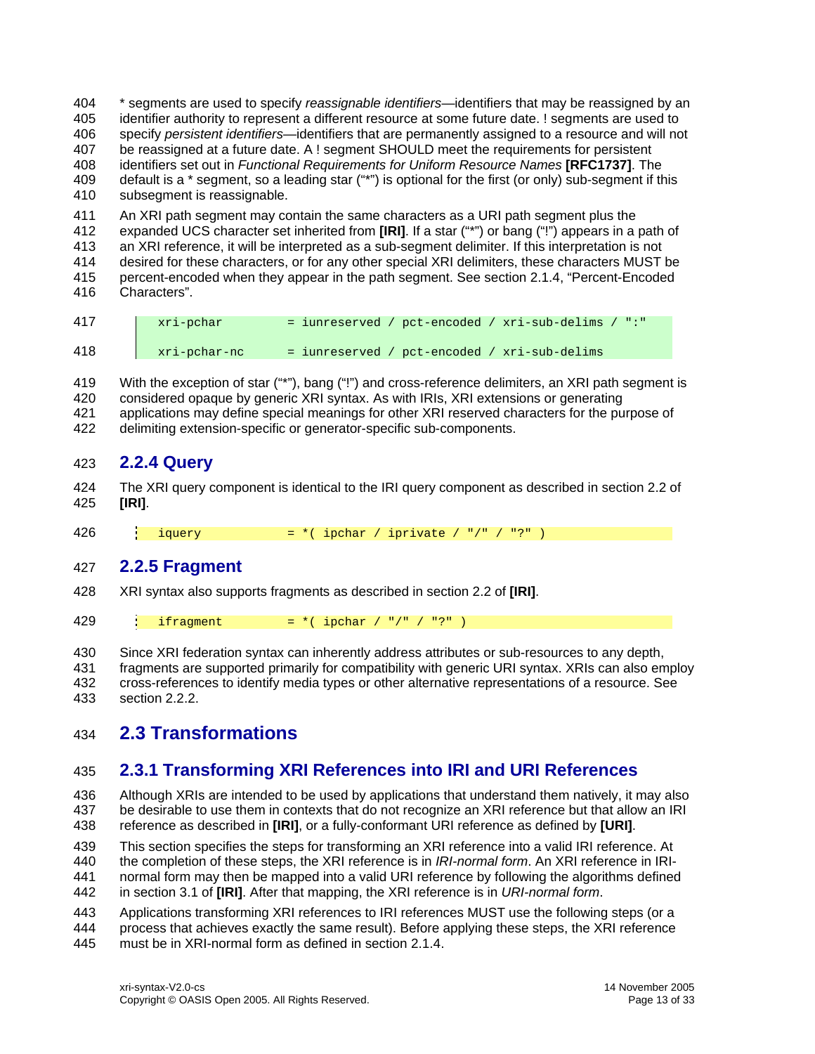<span id="page-12-0"></span>\* segments are used to specify *reassignable identifiers*—identifiers that may be reassigned by an identifier authority to represent a different resource at some future date. ! segments are used to specify *persistent identifiers*—identifiers that are permanently assigned to a resource and will not be reassigned at a future date. A ! segment SHOULD meet the requirements for persistent identifiers set out in *Functional Requirements for Uniform Resource Names*  **[\[RFC1737\]](#page-21-5)**. The 404 405 406 407 408 409 410 default is a \* segment, so a leading star ("\*") is optional for the first (or only) sub-segment if this subsegment is reassignable.

411 An XRI path segment may contain the same characters as a URI path segment plus the

412 expanded UCS character set inherited from **[\[IRI\]](#page-21-3)**. If a star ("\*") or bang ("!") appears in a path of

413 an XRI reference, it will be interpreted as a sub-segment delimiter. If this interpretation is not

414 415 416 desired for these characters, or for any other special XRI delimiters, these characters MUST be percent-encoded when they appear in the path segment. See section [2.1.4,](#page-7-1) "[Percent-Encoded](#page-7-1)  [Characters"](#page-7-1).

| 417 | xri-pchar    | $=$ iunreserved / pct-encoded / xri-sub-delims / ":" |
|-----|--------------|------------------------------------------------------|
| 418 | xri-pchar-nc | = iunreserved / pct-encoded / xri-sub-delims         |

419 420 421 With the exception of star ("\*"), bang ("!") and cross-reference delimiters, an XRI path segment is considered opaque by generic XRI syntax. As with IRIs, XRI extensions or generating applications may define special meanings for other XRI reserved characters for the purpose of

422 delimiting extension-specific or generator-specific sub-components.

# 423 **2.2.4 Query**

424 425 The XRI query component is identical to the IRI query component as described in section 2.2 of **[\[IRI\]](#page-21-3)**.

426 iquery  $= *$ ( ipchar / iprivate / "/" / "?" )

# 427 **2.2.5 Fragment**

- 428 XRI syntax also supports fragments as described in section 2.2 of **[\[IRI\]](#page-21-3)**.
- 429 ifragment  $= *$ ( ipchar / "/" / "?" )

430 431 432 433 Since XRI federation syntax can inherently address attributes or sub-resources to any depth, fragments are supported primarily for compatibility with generic URI syntax. XRIs can also employ cross-references to identify media types or other alternative representations of a resource. See section [2.2.2.](#page-10-1)

# 434 **2.3 Transformations**

# <span id="page-12-1"></span>435 **2.3.1 Transforming XRI References into IRI and URI References**

436 437 438 Although XRIs are intended to be used by applications that understand them natively, it may also be desirable to use them in contexts that do not recognize an XRI reference but that allow an IRI reference as described in **[\[IRI\]](#page-21-3)**, or a fully-conformant URI reference as defined by **[\[URI\]](#page-21-2)**.

439 This section specifies the steps for transforming an XRI reference into a valid IRI reference. At

440 the completion of these steps, the XRI reference is in *IRI-normal form*. An XRI reference in IRI-

441 normal form may then be mapped into a valid URI reference by following the algorithms defined

442 in section 3.1 of **[\[IRI\]](#page-21-3)**. After that mapping, the XRI reference is in *URI-normal form*.

443 Applications transforming XRI references to IRI references MUST use the following steps (or a

444 process that achieves exactly the same result). Before applying these steps, the XRI reference

445 must be in XRI-normal form as defined in section [2.1.4](#page-7-1).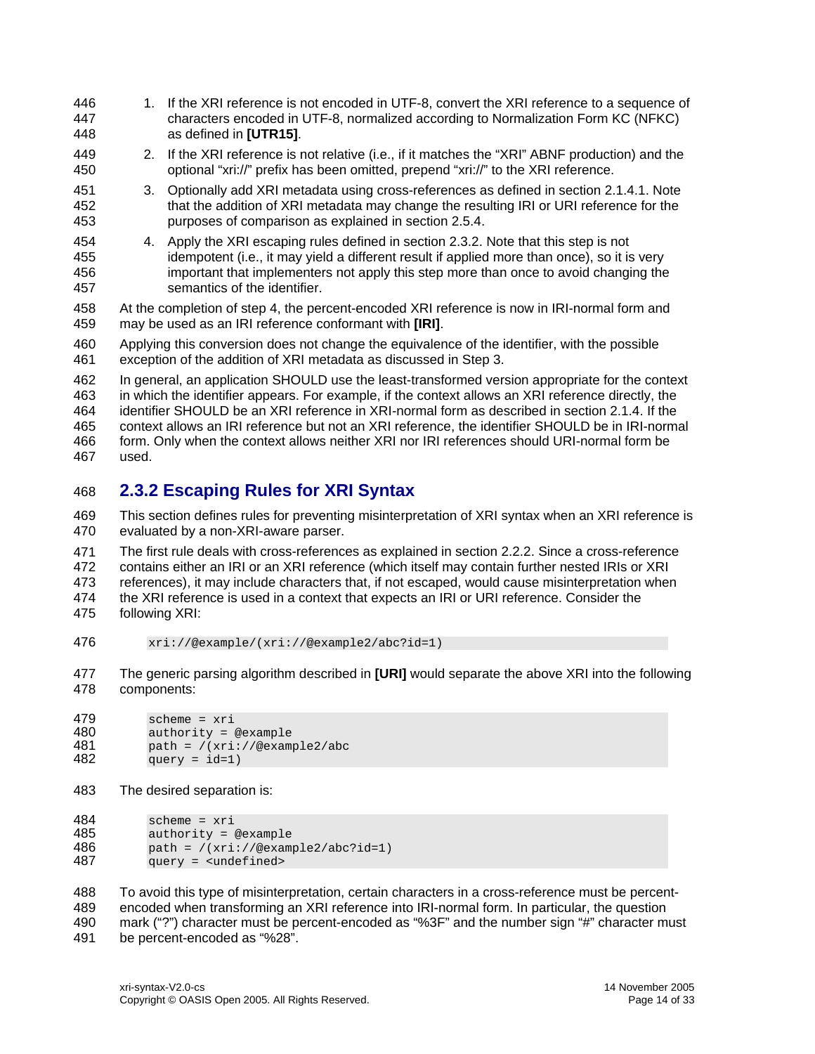- <span id="page-13-0"></span>1. If the XRI reference is not encoded in UTF-8, convert the XRI reference to a sequence of characters encoded in UTF-8, normalized according to Normalization Form KC (NFKC) as defined in **[\[UTR15\]](#page-21-10)**. 446 447 448
- 449 450 2. If the XRI reference is not relative (i.e., if it matches the "XRI" ABNF production) and the optional "xri://" prefix has been omitted, prepend "xri://" to the XRI reference.
- 451 452 453 3. Optionally add XRI metadata using cross-references as defined in section [2.1.4.1](#page-7-2). Note that the addition of XRI metadata may change the resulting IRI or URI reference for the purposes of comparison as explained in section [2.5.4.](#page-18-1)
- 454 455 456 457 4. Apply the XRI escaping rules defined in section [2.3.2](#page-13-1). Note that this step is not idempotent (i.e., it may yield a different result if applied more than once), so it is very important that implementers not apply this step more than once to avoid changing the semantics of the identifier.
- 458 459 At the completion of step 4, the percent-encoded XRI reference is now in IRI-normal form and may be used as an IRI reference conformant with **[\[IRI\]](#page-21-3)**.

460 461 Applying this conversion does not change the equivalence of the identifier, with the possible exception of the addition of XRI metadata as discussed in Step 3.

462 463 464 465 466 467 In general, an application SHOULD use the least-transformed version appropriate for the context in which the identifier appears. For example, if the context allows an XRI reference directly, the identifier SHOULD be an XRI reference in XRI-normal form as described in section [2.1.4.](#page-7-1) If the context allows an IRI reference but not an XRI reference, the identifier SHOULD be in IRI-normal form. Only when the context allows neither XRI nor IRI references should URI-normal form be used.

# <span id="page-13-1"></span>468 **2.3.2 Escaping Rules for XRI Syntax**

469 470 This section defines rules for preventing misinterpretation of XRI syntax when an XRI reference is evaluated by a non-XRI-aware parser.

471 472 473 474 475 The first rule deals with cross-references as explained in section [2.2.2](#page-10-1). Since a cross-reference contains either an IRI or an XRI reference (which itself may contain further nested IRIs or XRI references), it may include characters that, if not escaped, would cause misinterpretation when the XRI reference is used in a context that expects an IRI or URI reference. Consider the following XRI:

476 xri://@example/(xri://@example2/abc?id=1)

477 478 The generic parsing algorithm described in **[\[URI\]](#page-21-2)** would separate the above XRI into the following components:

```
479 scheme = xri<br>480 authority = 0
480 authority = @example<br>481 path = /(xri://@exam)481 path = /(xri://@example2/abc 
482 
              query = id=1)
```
483 The desired separation is:

484 scheme = xri<br>485 authority = 0 485 authority = @example  $path = / (xri://@example2/abc?id=1)$ 487 query = <undefined>

488 489 To avoid this type of misinterpretation, certain characters in a cross-reference must be percentencoded when transforming an XRI reference into IRI-normal form. In particular, the question

490 mark ("?") character must be percent-encoded as "%3F" and the number sign "#" character must

491 be percent-encoded as "%28".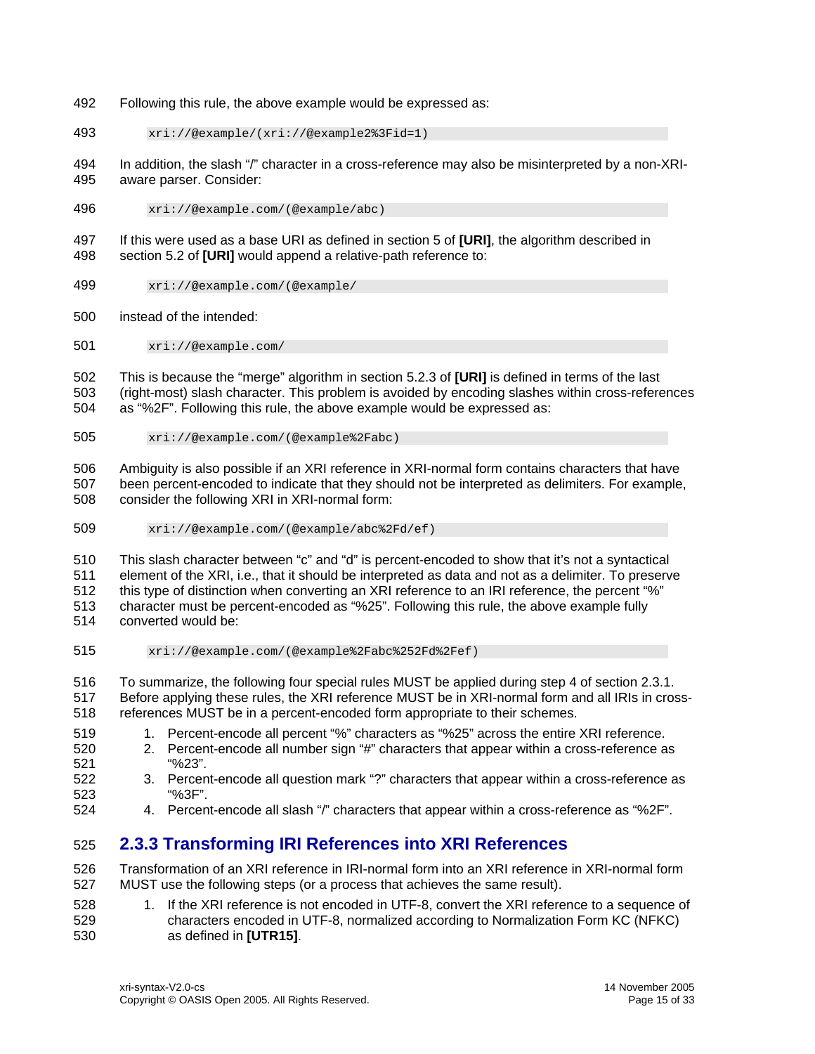- <span id="page-14-0"></span>492 Following this rule, the above example would be expressed as:
- 493 xri://@example/(xri://@example2%3Fid=1)

494 495 In addition, the slash "/" character in a cross-reference may also be misinterpreted by a non-XRIaware parser. Consider:

496 xri://@example.com/(@example/abc)

497 498 If this were used as a base URI as defined in section 5 of **[\[URI\]](#page-21-2)**, the algorithm described in section 5.2 of **[\[URI\]](#page-21-2)** would append a relative-path reference to:

- 499 xri://@example.com/(@example/
- 500 instead of the intended:
- 501 xri://@example.com/

502 503 504 This is because the "merge" algorithm in section 5.2.3 of **[\[URI\]](#page-21-2)** is defined in terms of the last (right-most) slash character. This problem is avoided by encoding slashes within cross-references as "%2F". Following this rule, the above example would be expressed as:

505 xri://@example.com/(@example%2Fabc)

506 507 508 Ambiguity is also possible if an XRI reference in XRI-normal form contains characters that have been percent-encoded to indicate that they should not be interpreted as delimiters. For example, consider the following XRI in XRI-normal form:

509 xri://@example.com/(@example/abc%2Fd/ef)

510 511 512 513 514 This slash character between "c" and "d" is percent-encoded to show that it's not a syntactical element of the XRI, i.e., that it should be interpreted as data and not as a delimiter. To preserve this type of distinction when converting an XRI reference to an IRI reference, the percent "%" character must be percent-encoded as "%25". Following this rule, the above example fully converted would be:

515 xri://@example.com/(@example%2Fabc%252Fd%2Fef)

516 517 518 To summarize, the following four special rules MUST be applied during step 4 of section [2.3.1](#page-12-1). Before applying these rules, the XRI reference MUST be in XRI-normal form and all IRIs in crossreferences MUST be in a percent-encoded form appropriate to their schemes.

- 519 1. Percent-encode all percent "%" characters as "%25" across the entire XRI reference.
- 520 521 2. Percent-encode all number sign "#" characters that appear within a cross-reference as "%23".
- 522 523 3. Percent-encode all question mark "?" characters that appear within a cross-reference as "%3F".
- 524 4. Percent-encode all slash "/" characters that appear within a cross-reference as "%2F".

# 525 **2.3.3 Transforming IRI References into XRI References**

526 527 Transformation of an XRI reference in IRI-normal form into an XRI reference in XRI-normal form MUST use the following steps (or a process that achieves the same result).

528 529 530 1. If the XRI reference is not encoded in UTF-8, convert the XRI reference to a sequence of characters encoded in UTF-8, normalized according to Normalization Form KC (NFKC) as defined in **[\[UTR15\]](#page-21-10)**.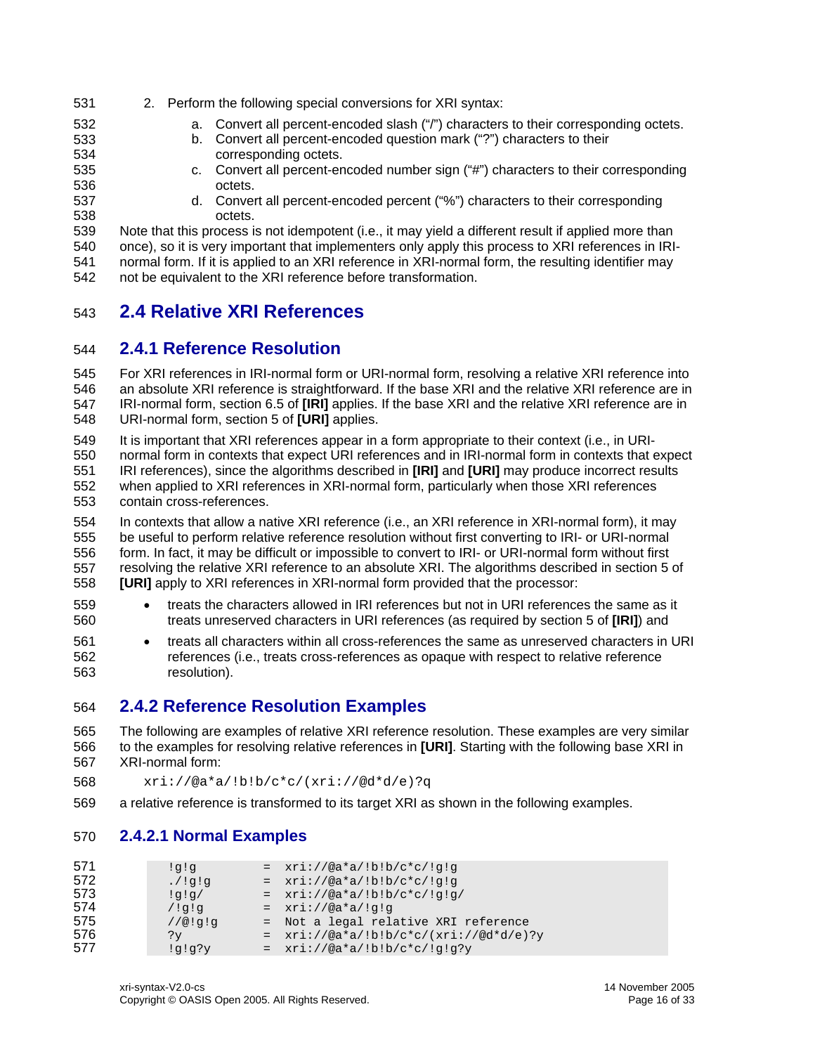- <span id="page-15-0"></span>531 2. Perform the following special conversions for XRI syntax:
	- a. Convert all percent-encoded slash ("/") characters to their corresponding octets.
	- b. Convert all percent-encoded question mark ("?") characters to their corresponding octets.
- 534 535 536

537 538

532 533

- c. Convert all percent-encoded number sign ("#") characters to their corresponding octets.
	- d. Convert all percent-encoded percent ("%") characters to their corresponding octets.

539 540 541 542 Note that this process is not idempotent (i.e., it may yield a different result if applied more than once), so it is very important that implementers only apply this process to XRI references in IRInormal form. If it is applied to an XRI reference in XRI-normal form, the resulting identifier may not be equivalent to the XRI reference before transformation.

# 543 **2.4 Relative XRI References**

# 544 **2.4.1 Reference Resolution**

545 546 547 548 For XRI references in IRI-normal form or URI-normal form, resolving a relative XRI reference into an absolute XRI reference is straightforward. If the base XRI and the relative XRI reference are in IRI-normal form, section 6.5 of **[\[IRI\]](#page-21-3)** applies. If the base XRI and the relative XRI reference are in URI-normal form, section 5 of **[\[URI\]](#page-21-2)** applies.

549 550 551 552 553 It is important that XRI references appear in a form appropriate to their context (i.e., in URInormal form in contexts that expect URI references and in IRI-normal form in contexts that expect IRI references), since the algorithms described in **[\[IRI\]](#page-21-3)** and **[\[URI\]](#page-21-2)** may produce incorrect results when applied to XRI references in XRI-normal form, particularly when those XRI references contain cross-references.

554 555 556 557 558 In contexts that allow a native XRI reference (i.e., an XRI reference in XRI-normal form), it may be useful to perform relative reference resolution without first converting to IRI- or URI-normal form. In fact, it may be difficult or impossible to convert to IRI- or URI-normal form without first resolving the relative XRI reference to an absolute XRI. The algorithms described in section 5 of **[\[URI\]](#page-21-2)** apply to XRI references in XRI-normal form provided that the processor:

- 559 560 • treats the characters allowed in IRI references but not in URI references the same as it treats unreserved characters in URI references (as required by section 5 of **[\[IRI\]](#page-21-3)**) and
- 561 562 563 • treats all characters within all cross-references the same as unreserved characters in URI references (i.e., treats cross-references as opaque with respect to relative reference resolution).

# 564 **2.4.2 Reference Resolution Examples**

- 565 566 567 The following are examples of relative XRI reference resolution. These examples are very similar to the examples for resolving relative references in **[\[URI\]](#page-21-2)**. Starting with the following base XRI in XRI-normal form:
- 568 xri://@a\*a/!b!b/c\*c/(xri://@d\*d/e)?q
- 569 a relative reference is transformed to its target XRI as shown in the following examples.

# 570 **2.4.2.1 Normal Examples**

| 571 | iq!q      | $= xri: //@a*a/!b!b/c*c/!q!q$                |
|-----|-----------|----------------------------------------------|
| 572 | $p!p!/$ . | $= xri: //@a*a/!b!b/c*c/!q!q$                |
| 573 | !q!q/     | $= xri: // @a*a/!b!b/c*c/!q!q/$              |
| 574 | 19!7      | $= xri: //@a*a!/q!q$                         |
| 575 | 1/@!q!q   | = Not a legal relative XRI reference         |
| 576 | ?v        | $= xri: // @a*a/!b!b/c*c/(xri: // @d*d/e)?y$ |
| 577 | idid;A    | $= xri: //@a*a/lb:b/c*c/lg!q?y$              |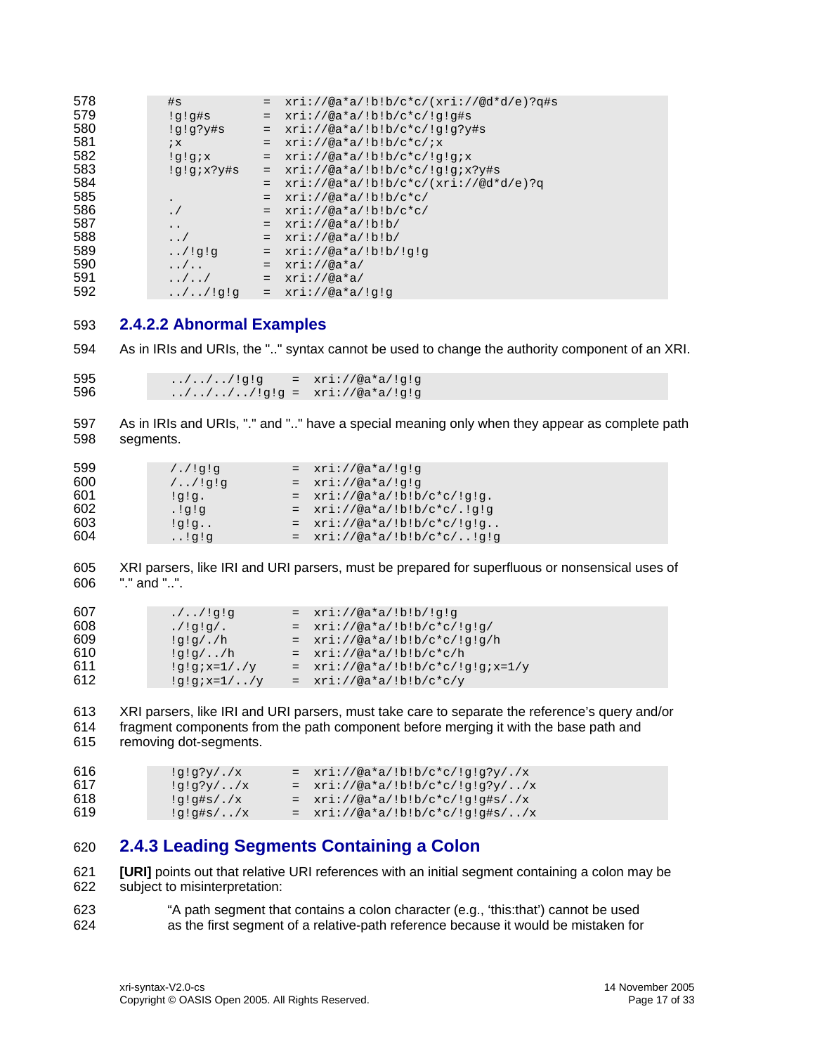<span id="page-16-0"></span>

| 578 | #s                       | $=$      | $xri://@a*a/!b!b/c*c/(xri://@d*d/e)?q#s$ |
|-----|--------------------------|----------|------------------------------------------|
| 579 | !g!g#s                   | $\equiv$ | $xri://@a*a/!b!b/c*c/!q!q\sharp s$       |
| 580 | !q!q?y#s                 | $=$      | $xri://@a*a/!b!b/c*c/!q!q?y#s$           |
| 581 | $i \times$               | $=$      | $xri://@a*a/!b!b/c*c/ix$                 |
| 582 | xip!p!                   | $=$      | $xri://@a*a/!b!b/c*c/!q!qix$             |
| 583 | $!q;x;y$ #s              | $=$      | $xri://@a*a/!b!b/c*c/!q!qix?y#s$         |
| 584 |                          | $=$      | $xri://@a*a/!b!b/c*c/(xri://@d*d/e)?q$   |
| 585 |                          | $=$      | $xri://@a*a/!b!b/c*c/$                   |
| 586 |                          | $=$      | $xri://@a*a/!b!b/c*c/$                   |
| 587 | $\ddotsc$                | $=$      | $xri://@a*a/!b!b/$                       |
| 588 | $\cdot$ . /              | $=$      | $xri://@a*a/!b!b/$                       |
| 589 | . / !q!q                 | $=$      | $xri://@a*a/!b!b/!q!q$                   |
| 590 | $\ldots/$                | $=$      | $xri://@a*a/$                            |
| 591 | $\ldots/$ /              | $=$      | $xri://@a*a/$                            |
| 592 | $\ldots / \ldots /$ !g!q |          | $= xri://@a*a!/q!q$                      |

# **2.4.2.2 Abnormal Examples**

 As in IRIs and URIs, the ".." syntax cannot be used to change the authority component of an XRI.

595 ../../../!g!g =  $xri: // @a * a / !g!g$  ../../../../!g!g = xri://@a\*a/!g!g

 As in IRIs and URIs, "." and ".." have a special meaning only when they appear as complete path segments.

| 599 | 1.19!9   | $= xri: //@a*a!/q!q$            |
|-----|----------|---------------------------------|
| 600 | 1.19!9   | $= xri: //@a*a!/q!q$            |
| 601 | lq!q.    | $= xri: // @a*a/!b:b/c*c/!q!q.$ |
| 602 | . !q!q   | $= xri: // @a*a' b:b/c*c .!q!q$ |
| 603 | $:q:q$   | $= xri: // @a*a/!b:b/c*c/!q!q$  |
| 604 | . . !q!q | $= xri: //@a*a/!b!b/c*c/!q!q$   |

 XRI parsers, like IRI and URI parsers, must be prepared for superfluous or nonsensical uses of "." and "..".

| 607 | $. / . / !$ g!g | $= xri: //@a*a/!b!b/!q!q$           |
|-----|-----------------|-------------------------------------|
| 608 | $.$ /!q!q/.     | $= xri: // @a*a/!b!b/c*c/!q!q/$     |
| 609 | $!q!q/$ ./h     | $= xri: //@a*a' b:b/c*c' q;q/h$     |
| 610 | $!q!q/$ /h      | $= xri: //@a*a/!b!b/c*c/h$          |
| 611 | $!q;q;x=1/./y$  | $= xri: //@a*a/!b!b/c*c/!q!qix=1/y$ |
| 612 | $!q!q; x=1/$ /y | $= xri: //@a*a/!b!b/c*c/y$          |

 XRI parsers, like IRI and URI parsers, must take care to separate the reference's query and/or fragment components from the path component before merging it with the base path and removing dot-segments.

```
616 ig!g?y/.x = xri://@a*a/lb:b/c*c/lg!g?y/.x617 !g!g?y/../x = xri://@a*a/!b!b/c*c/!g!g?y/../x 
618 lg!g#s/.x = xri://@a*a/lb:b/c*c/lg!g#s/.x619 
         !g!g#s/../x = xri://@a*a/!b!b/c*c/!g!g#s/../x
```
# **2.4.3 Leading Segments Containing a Colon**

<span id="page-16-1"></span> **[\[URI\]](#page-21-2)** points out that relative URI references with an initial segment containing a colon may be subject to misinterpretation:

 "A path segment that contains a colon character (e.g., 'this:that') cannot be used as the first segment of a relative-path reference because it would be mistaken for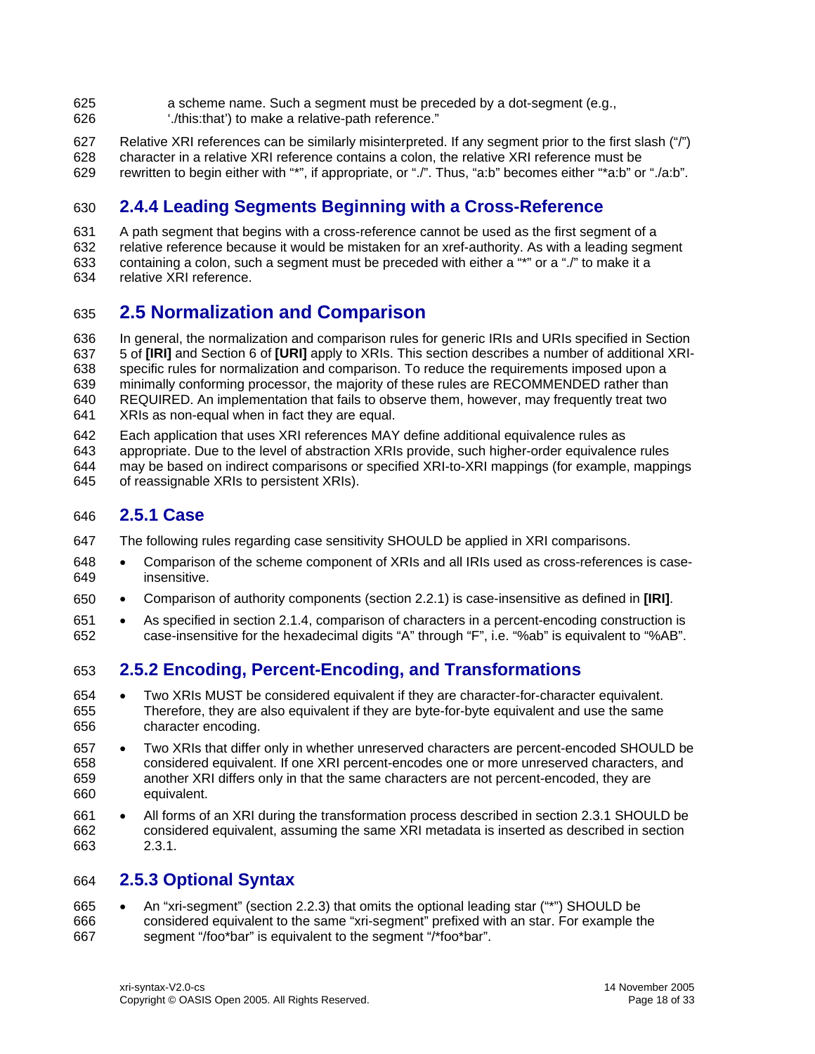- <span id="page-17-0"></span>625 a scheme name. Such a segment must be preceded by a dot-segment (e.g.,
- 626 './this:that') to make a relative-path reference."
- 627 628 Relative XRI references can be similarly misinterpreted. If any segment prior to the first slash ("/") character in a relative XRI reference contains a colon, the relative XRI reference must be
- 629 rewritten to begin either with "\*", if appropriate, or "./". Thus, "a:b" becomes either "\*a:b" or "./a:b".

# 630 **2.4.4 Leading Segments Beginning with a Cross-Reference**

631 632 633 A path segment that begins with a cross-reference cannot be used as the first segment of a relative reference because it would be mistaken for an xref-authority. As with a leading segment containing a colon, such a segment must be preceded with either a "\*" or a "./" to make it a

634 relative XRI reference.

# <span id="page-17-1"></span>635 **2.5 Normalization and Comparison**

636 637 638 639 640 641 In general, the normalization and comparison rules for generic IRIs and URIs specified in Section 5 of **[\[IRI\]](#page-21-3)** and Section 6 of **[\[URI\]](#page-21-2)** apply to XRIs. This section describes a number of additional XRIspecific rules for normalization and comparison. To reduce the requirements imposed upon a minimally conforming processor, the majority of these rules are RECOMMENDED rather than REQUIRED. An implementation that fails to observe them, however, may frequently treat two XRIs as non-equal when in fact they are equal.

642 Each application that uses XRI references MAY define additional equivalence rules as

- 643 appropriate. Due to the level of abstraction XRIs provide, such higher-order equivalence rules
- 644 645 may be based on indirect comparisons or specified XRI-to-XRI mappings (for example, mappings of reassignable XRIs to persistent XRIs).

# 646 **2.5.1 Case**

- 647 The following rules regarding case sensitivity SHOULD be applied in XRI comparisons.
- 648 649 • Comparison of the scheme component of XRIs and all IRIs used as cross-references is caseinsensitive.
- 650 • Comparison of authority components (section [2.2.1](#page-9-2)) is case-insensitive as defined in **[\[IRI\]](#page-21-3)**.
- 651 652 • As specified in section [2.1.4,](#page-7-1) comparison of characters in a percent-encoding construction is case-insensitive for the hexadecimal digits "A" through "F", i.e. "%ab" is equivalent to "%AB".

# 653 **2.5.2 Encoding, Percent-Encoding, and Transformations**

- 654 655 656 • Two XRIs MUST be considered equivalent if they are character-for-character equivalent. Therefore, they are also equivalent if they are byte-for-byte equivalent and use the same character encoding.
- 657 658 659 660 • Two XRIs that differ only in whether unreserved characters are percent-encoded SHOULD be considered equivalent. If one XRI percent-encodes one or more unreserved characters, and another XRI differs only in that the same characters are not percent-encoded, they are equivalent.
- 661 662 663 • All forms of an XRI during the transformation process described in section [2.3.1](#page-12-1) SHOULD be considered equivalent, assuming the same XRI metadata is inserted as described in section [2.3.1](#page-12-1).

# 664 **2.5.3 Optional Syntax**

665 666 667 • An "xri-segment" (section [2.2.3\)](#page-11-1) that omits the optional leading star ("\*") SHOULD be considered equivalent to the same "xri-segment" prefixed with an star. For example the segment "/foo\*bar" is equivalent to the segment "/\*foo\*bar".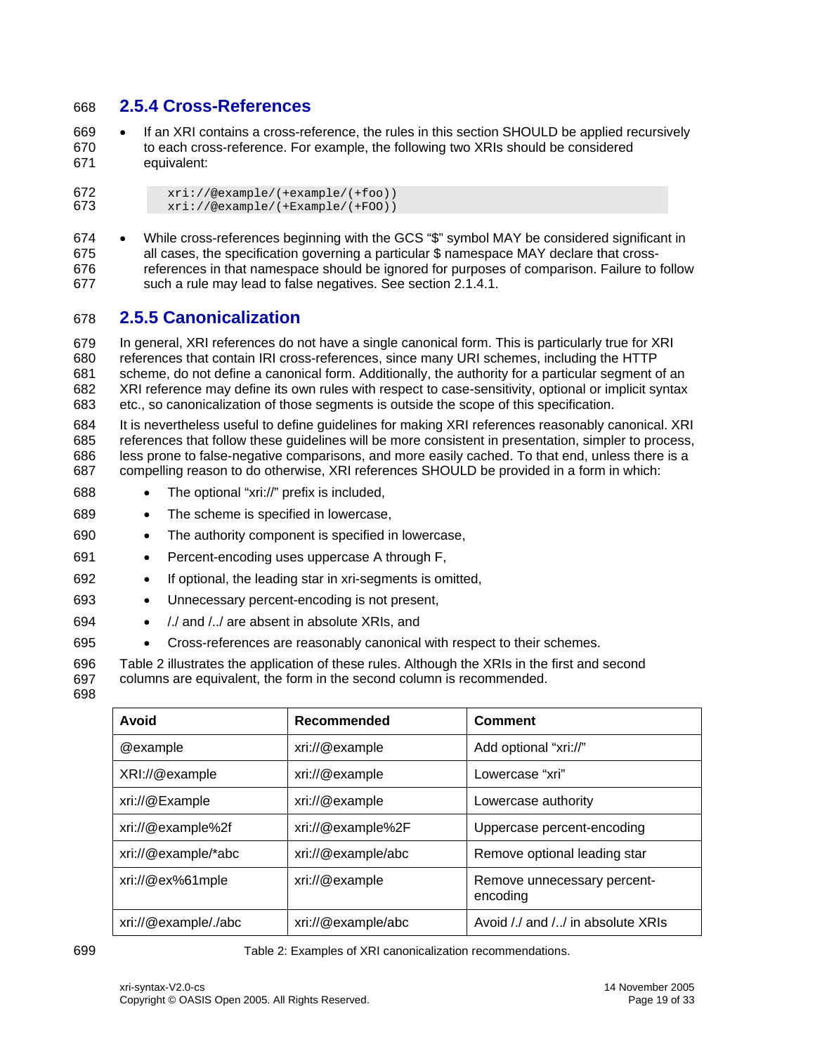# <span id="page-18-1"></span><span id="page-18-0"></span>668 **2.5.4 Cross-References**

669 670 671 If an XRI contains a cross-reference, the rules in this section SHOULD be applied recursively to each cross-reference. For example, the following two XRIs should be considered equivalent:

672  $\begin{array}{c}\n 672 \quad \text{tri} \cdot \text{/@example/(+Example/(+foo))}\n 673 \quad \text{tri} \cdot \text{/@example/(+Example/(+FOO))}\n \end{array}$ 673 xri://@example/(+Example/(+FOO))

674 675 676 677 • While cross-references beginning with the GCS "\$" symbol MAY be considered significant in all cases, the specification governing a particular \$ namespace MAY declare that crossreferences in that namespace should be ignored for purposes of comparison. Failure to follow such a rule may lead to false negatives. See section [2.1.4.1](#page-7-2).

# 678 **2.5.5 Canonicalization**

679 680 681 682 683 In general, XRI references do not have a single canonical form. This is particularly true for XRI references that contain IRI cross-references, since many URI schemes, including the HTTP scheme, do not define a canonical form. Additionally, the authority for a particular segment of an XRI reference may define its own rules with respect to case-sensitivity, optional or implicit syntax etc., so canonicalization of those segments is outside the scope of this specification.

684 685 686 687 It is nevertheless useful to define guidelines for making XRI references reasonably canonical. XRI references that follow these guidelines will be more consistent in presentation, simpler to process, less prone to false-negative comparisons, and more easily cached. To that end, unless there is a compelling reason to do otherwise, XRI references SHOULD be provided in a form in which:

- 688 • The optional "xri://" prefix is included,
- 689 • The scheme is specified in lowercase,
- 690 • The authority component is specified in lowercase,
- 691 • Percent-encoding uses uppercase A through F,
- 692 • If optional, the leading star in xri-segments is omitted,
- 693 • Unnecessary percent-encoding is not present,
- 694 • /./ and /../ are absent in absolute XRIs, and
- 695 • Cross-references are reasonably canonical with respect to their schemes.

696 697 [Table 2](#page-18-2) illustrates the application of these rules. Although the XRIs in the first and second columns are equivalent, the form in the second column is recommended.

698

| Avoid                | Recommended        | Comment                                 |
|----------------------|--------------------|-----------------------------------------|
| @example             | xri://@example     | Add optional "xri://"                   |
| XRI://@example       | xri://@example     | Lowercase "xri"                         |
| xri://@Example       | xri://@example     | Lowercase authority                     |
| xri://@example%2f    | xri://@example%2F  | Uppercase percent-encoding              |
| xri://@example/*abc  | xri://@example/abc | Remove optional leading star            |
| $xri$ ://@ex%61mple  | xri://@example     | Remove unnecessary percent-<br>encoding |
| xri://@example/./abc | xri://@example/abc | Avoid /./ and // in absolute XRIs       |

<span id="page-18-2"></span>699 Table 2: Examples of XRI canonicalization recommendations.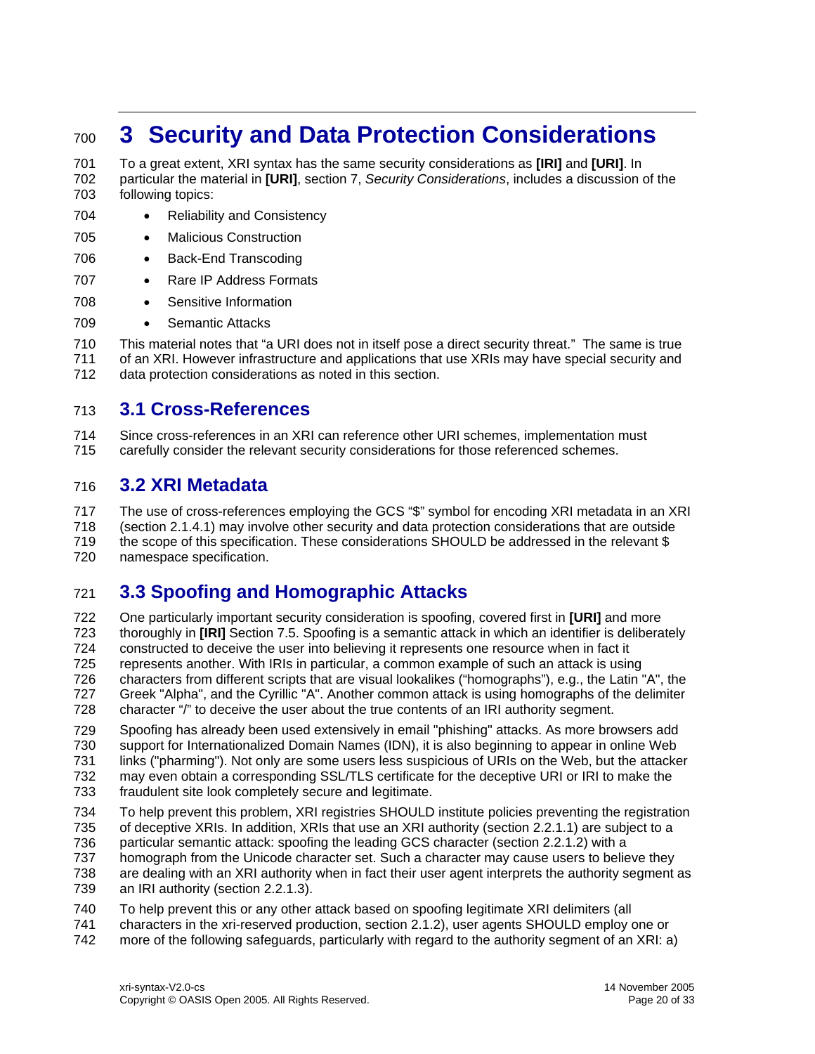# <span id="page-19-0"></span><sup>700</sup>**3 Security and Data Protection Considerations**

701 702 703 To a great extent, XRI syntax has the same security considerations as **[\[IRI\]](#page-21-3)** and **[\[URI\]](#page-21-2)**. In particular the material in **[\[URI\]](#page-21-2)**, section 7, *Security Considerations*, includes a discussion of the following topics:

- 704 • Reliability and Consistency
- 705 • Malicious Construction
- 706 • Back-End Transcoding
- 707 • Rare IP Address Formats
- 708 Sensitive Information
- 709 Semantic Attacks

710 711 712 This material notes that "a URI does not in itself pose a direct security threat." The same is true of an XRI. However infrastructure and applications that use XRIs may have special security and data protection considerations as noted in this section.

# 713 **3.1 Cross-References**

714 715 Since cross-references in an XRI can reference other URI schemes, implementation must carefully consider the relevant security considerations for those referenced schemes.

# 716 **3.2 XRI Metadata**

717 718 719 720 The use of cross-references employing the GCS "\$" symbol for encoding XRI metadata in an XRI (section [2.1.4.1](#page-7-2)) may involve other security and data protection considerations that are outside the scope of this specification. These considerations SHOULD be addressed in the relevant \$ namespace specification.

# <span id="page-19-1"></span>721 **3.3 Spoofing and Homographic Attacks**

722 723 724 725 726 727 728 One particularly important security consideration is spoofing, covered first in **[\[URI\]](#page-21-2)** and more thoroughly in **[\[IRI\]](#page-21-3)** Section 7.5. Spoofing is a semantic attack in which an identifier is deliberately constructed to deceive the user into believing it represents one resource when in fact it represents another. With IRIs in particular, a common example of such an attack is using characters from different scripts that are visual lookalikes ("homographs"), e.g., the Latin "A", the Greek "Alpha", and the Cyrillic "A". Another common attack is using homographs of the delimiter character "/" to deceive the user about the true contents of an IRI authority segment.

729 730 731 732 Spoofing has already been used extensively in email "phishing" attacks. As more browsers add support for Internationalized Domain Names (IDN), it is also beginning to appear in online Web links ("pharming"). Not only are some users less suspicious of URIs on the Web, but the attacker may even obtain a corresponding SSL/TLS certificate for the deceptive URI or IRI to make the

- 733 fraudulent site look completely secure and legitimate.
- 734 To help prevent this problem, XRI registries SHOULD institute policies preventing the registration
- 735 of deceptive XRIs. In addition, XRIs that use an XRI authority (section [2.2.1.1](#page-9-3)) are subject to a
- 736 particular semantic attack: spoofing the leading GCS character (section [2.2.1.2\)](#page-9-1) with a
- 737 homograph from the Unicode character set. Such a character may cause users to believe they
- 738 739 are dealing with an XRI authority when in fact their user agent interprets the authority segment as an IRI authority (section [2.2.1.3](#page-10-2)).
- 740 To help prevent this or any other attack based on spoofing legitimate XRI delimiters (all
- 741 characters in the xri-reserved production, section [2.1.2](#page-6-1)), user agents SHOULD employ one or
- 742 more of the following safeguards, particularly with regard to the authority segment of an XRI: a)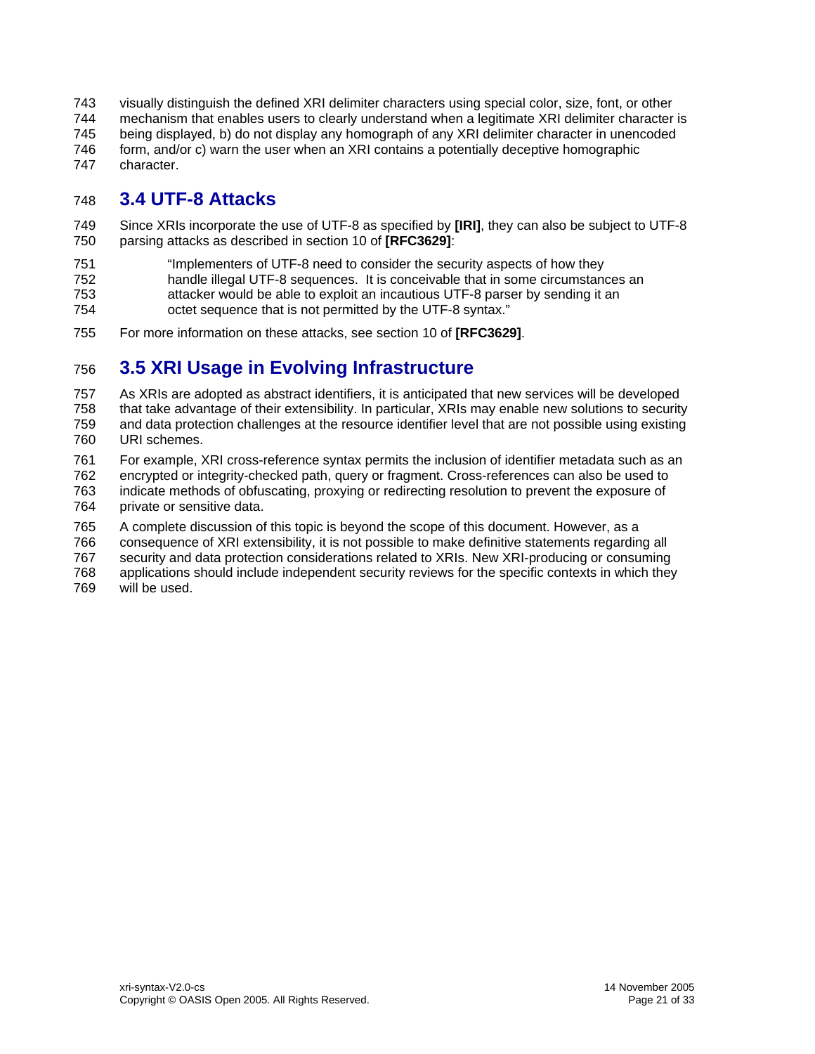<span id="page-20-0"></span>743 744 745 746 747 visually distinguish the defined XRI delimiter characters using special color, size, font, or other mechanism that enables users to clearly understand when a legitimate XRI delimiter character is being displayed, b) do not display any homograph of any XRI delimiter character in unencoded form, and/or c) warn the user when an XRI contains a potentially deceptive homographic character.

# 748 **3.4 UTF-8 Attacks**

749 750 Since XRIs incorporate the use of UTF-8 as specified by **[\[IRI\]](#page-21-3)**, they can also be subject to UTF-8 parsing attacks as described in section 10 of **[\[RFC3629\]](#page-21-14)**:

751 "Implementers of UTF-8 need to consider the security aspects of how they

752 handle illegal UTF-8 sequences. It is conceivable that in some circumstances an

- 753 attacker would be able to exploit an incautious UTF-8 parser by sending it an
- 754 octet sequence that is not permitted by the UTF-8 syntax."
- 755 For more information on these attacks, see section 10 of **[\[RFC3629\]](#page-21-14)**.

# 756 **3.5 XRI Usage in Evolving Infrastructure**

757 758 759 760 As XRIs are adopted as abstract identifiers, it is anticipated that new services will be developed that take advantage of their extensibility. In particular, XRIs may enable new solutions to security and data protection challenges at the resource identifier level that are not possible using existing URI schemes.

761 762 763 764 For example, XRI cross-reference syntax permits the inclusion of identifier metadata such as an encrypted or integrity-checked path, query or fragment. Cross-references can also be used to indicate methods of obfuscating, proxying or redirecting resolution to prevent the exposure of private or sensitive data.

765 A complete discussion of this topic is beyond the scope of this document. However, as a

766 consequence of XRI extensibility, it is not possible to make definitive statements regarding all

767 security and data protection considerations related to XRIs. New XRI-producing or consuming

768 applications should include independent security reviews for the specific contexts in which they

769 will be used.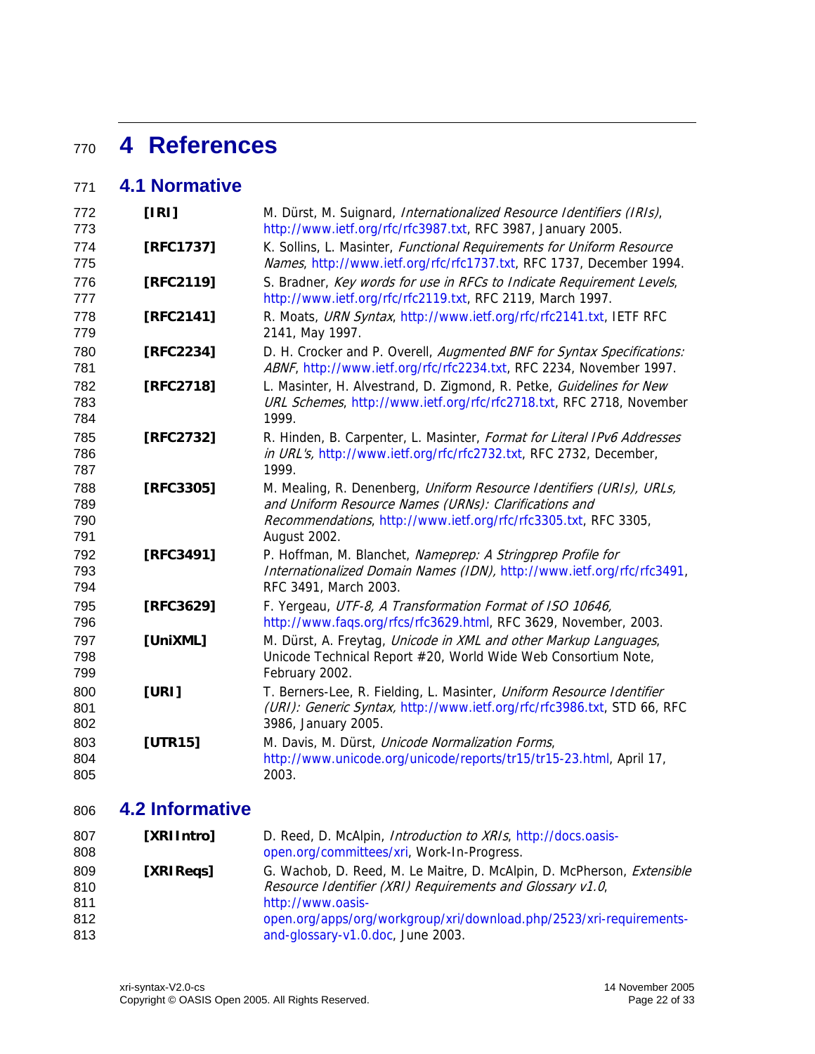# <span id="page-21-1"></span><sup>770</sup>**4 References**

# 771 **4.1 Normative**

<span id="page-21-13"></span><span id="page-21-9"></span><span id="page-21-8"></span><span id="page-21-7"></span><span id="page-21-6"></span><span id="page-21-5"></span><span id="page-21-4"></span><span id="page-21-3"></span>

| 772<br>773               | [IR]      | M. Dürst, M. Suignard, Internationalized Resource Identifiers (IRIs),<br>http://www.ietf.org/rfc/rfc3987.txt, RFC 3987, January 2005.                                                                            |
|--------------------------|-----------|------------------------------------------------------------------------------------------------------------------------------------------------------------------------------------------------------------------|
| 774<br>775               | [RFC1737] | K. Sollins, L. Masinter, Functional Requirements for Uniform Resource<br>Names, http://www.ietf.org/rfc/rfc1737.txt, RFC 1737, December 1994.                                                                    |
| 776<br>777               | [RFC2119] | S. Bradner, Key words for use in RFCs to Indicate Requirement Levels,<br>http://www.ietf.org/rfc/rfc2119.txt, RFC 2119, March 1997.                                                                              |
| 778<br>779               | [RFC2141] | R. Moats, URN Syntax, http://www.ietf.org/rfc/rfc2141.txt, IETF RFC<br>2141, May 1997.                                                                                                                           |
| 780<br>781               | [RFC2234] | D. H. Crocker and P. Overell, Augmented BNF for Syntax Specifications:<br>ABNF, http://www.ietf.org/rfc/rfc2234.txt, RFC 2234, November 1997.                                                                    |
| 782<br>783<br>784        | [RFC2718] | L. Masinter, H. Alvestrand, D. Zigmond, R. Petke, Guidelines for New<br>URL Schemes, http://www.ietf.org/rfc/rfc2718.txt, RFC 2718, November<br>1999.                                                            |
| 785<br>786<br>787        | [RFC2732] | R. Hinden, B. Carpenter, L. Masinter, Format for Literal IPv6 Addresses<br>in URL's, http://www.ietf.org/rfc/rfc2732.txt, RFC 2732, December,<br>1999.                                                           |
| 788<br>789<br>790<br>791 | [RFC3305] | M. Mealing, R. Denenberg, Uniform Resource Identifiers (URIs), URLs,<br>and Uniform Resource Names (URNs): Clarifications and<br>Recommendations, http://www.ietf.org/rfc/rfc3305.txt, RFC 3305,<br>August 2002. |
| 792<br>793<br>794        | [RFC3491] | P. Hoffman, M. Blanchet, Nameprep: A Stringprep Profile for<br>Internationalized Domain Names (IDN), http://www.ietf.org/rfc/rfc3491,<br>RFC 3491, March 2003.                                                   |
| 795<br>796               | [RFC3629] | F. Yergeau, UTF-8, A Transformation Format of ISO 10646,<br>http://www.faqs.org/rfcs/rfc3629.html, RFC 3629, November, 2003.                                                                                     |
| 797<br>798<br>799        | [UniXML]  | M. Dürst, A. Freytag, Unicode in XML and other Markup Languages,<br>Unicode Technical Report #20, World Wide Web Consortium Note,<br>February 2002.                                                              |
| 800<br>801<br>802        | [URI]     | T. Berners-Lee, R. Fielding, L. Masinter, Uniform Resource Identifier<br>(URI): Generic Syntax, http://www.ietf.org/rfc/rfc3986.txt, STD 66, RFC<br>3986, January 2005.                                          |
| 803<br>804<br>805        | [UTR15]   | M. Davis, M. Dürst, Unicode Normalization Forms,<br>http://www.unicode.org/unicode/reports/tr15/tr15-23.html, April 17,<br>2003.                                                                                 |

# <span id="page-21-14"></span><span id="page-21-12"></span><span id="page-21-11"></span><span id="page-21-10"></span><span id="page-21-2"></span>806 **4.2 Informative**

<span id="page-21-15"></span><span id="page-21-0"></span>

| 807<br>808 | [XRIIntro] | D. Reed, D. McAlpin, <i>Introduction to XRIs</i> , http://docs.oasis-<br>open.org/committees/xri, Work-In-Progress.                 |
|------------|------------|-------------------------------------------------------------------------------------------------------------------------------------|
| 809<br>810 | [XRIRegs]  | G. Wachob, D. Reed, M. Le Maitre, D. McAlpin, D. McPherson, Extensible<br>Resource Identifier (XRI) Requirements and Glossary v1.0, |
| 811        |            | http://www.oasis-                                                                                                                   |
| 812        |            | open.org/apps/org/workgroup/xri/download.php/2523/xri-requirements-                                                                 |
| 813        |            | and-glossary-v1.0.doc, June 2003.                                                                                                   |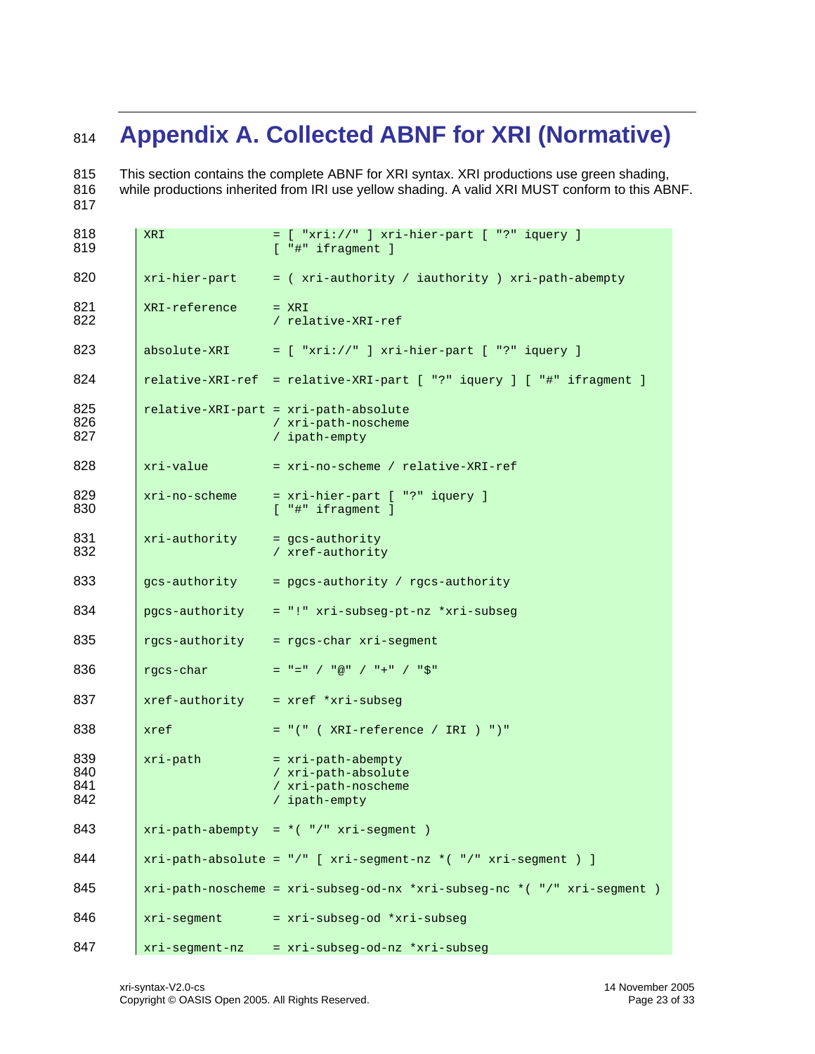# <span id="page-22-1"></span><span id="page-22-0"></span>**Appendix A. Collected ABNF for XRI (Normative)**

 This section contains the complete ABNF for XRI syntax. XRI productions use green shading, while productions inherited from IRI use yellow shading. A valid XRI MUST conform to this ABNF.

| 818<br>819               | <b>XRI</b>     | $=$ [ "xri://" ] xri-hier-part [ "?" iquery ]<br>$[$ "#" ifragment $]$            |
|--------------------------|----------------|-----------------------------------------------------------------------------------|
| 820                      | xri-hier-part  | = ( xri-authority / iauthority ) xri-path-abempty                                 |
| 821<br>822               | XRI-reference  | $= XRI$<br>/ relative-XRI-ref                                                     |
| 823                      | absolute-XRI   | $=$ [ "xri://" ] xri-hier-part [ "?" iquery ]                                     |
| 824                      |                | relative-XRI-ref = relative-XRI-part [ "?" iquery ] [ "#" ifragment ]             |
| 825<br>826<br>827        |                | relative-XRI-part = xri-path-absolute<br>/ xri-path-noscheme<br>/ ipath-empty     |
| 828                      | xri-value      | = xri-no-scheme / relative-XRI-ref                                                |
| 829<br>830               | xri-no-scheme  | = xri-hier-part [ "?" iquery ]<br>$[$ "#" ifragment $]$                           |
| 831<br>832               | xri-authority  | = qcs-authority<br>/ xref-authority                                               |
| 833                      | gcs-authority  | = pgcs-authority / rgcs-authority                                                 |
| 834                      | pgcs-authority | = "!" xri-subseg-pt-nz *xri-subseg                                                |
| 835                      |                | rgcs-authority = rgcs-char xri-segment                                            |
| 836                      | rgcs-char      | $=$ "=" / "@" / "+" / "\$"                                                        |
| 837                      |                | $xref-authority = xref *xri-subseq$                                               |
| 838                      | xref           | $= "(" ( XRI-reference / IRI ) " )"$                                              |
| 839<br>840<br>841<br>842 | xri-path       | = xri-path-abempty<br>/ xri-path-absolute<br>/ xri-path-noscheme<br>/ ipath-empty |
| 843                      |                | $xri-path-abempty = *("'/" xri-segment )$                                         |
| 844                      |                | $xri-path-absolute = "/* [xri-segment-nz * ("/* xri-segment )]$                   |
| 845                      |                | $xri-path-noscheme = xri-subseg-od-nx * xri-subseg-nc * ("/" xri-segment )$       |
| 846                      | xri-segment    | = xri-subseg-od *xri-subseg                                                       |
| 847                      |                | xri-segment-nz = xri-subseg-od-nz *xri-subseg                                     |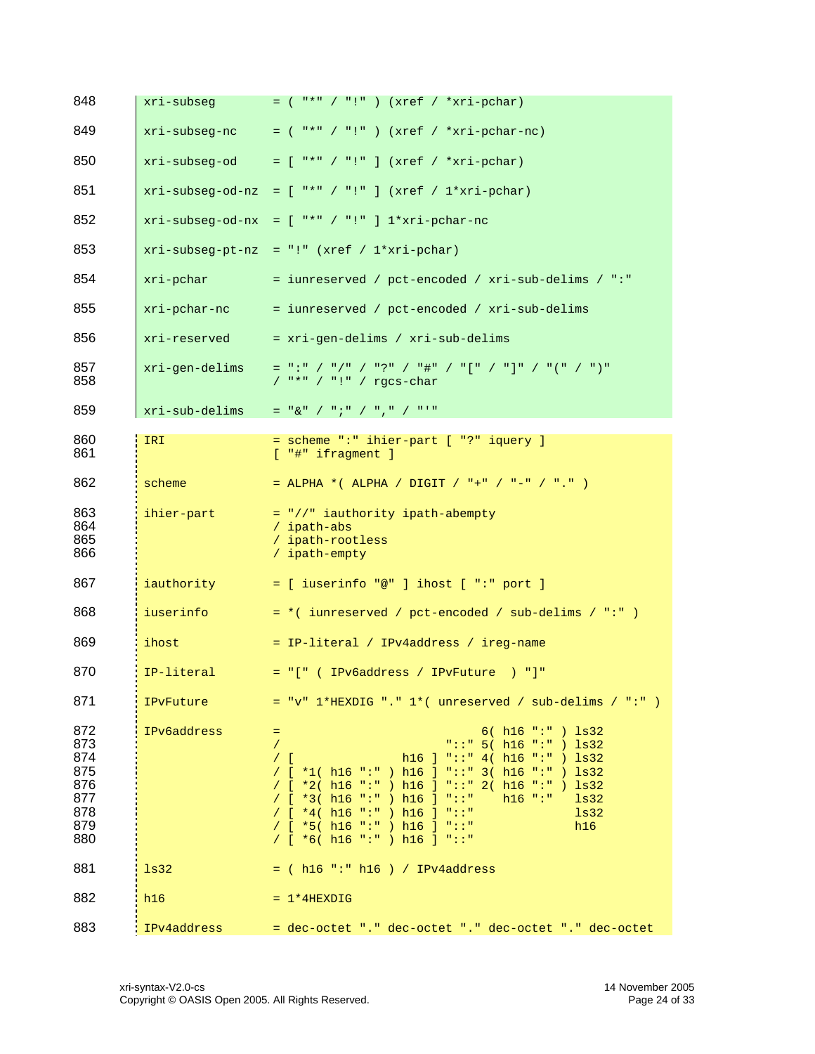| 848                                                         | xri-subseq       | $=$ ( "*" / "!" ) (xref / *xri-pchar)                                                                                                                                                                                                                                                                                                                                                                        |
|-------------------------------------------------------------|------------------|--------------------------------------------------------------------------------------------------------------------------------------------------------------------------------------------------------------------------------------------------------------------------------------------------------------------------------------------------------------------------------------------------------------|
| 849                                                         | xri-subseq-nc    | $=$ ( "*" / "!" ) (xref / *xri-pchar-nc)                                                                                                                                                                                                                                                                                                                                                                     |
| 850                                                         | xri-subseq-od    | $= [$ "*" / "!" ] (xref / *xri-pchar)                                                                                                                                                                                                                                                                                                                                                                        |
| 851                                                         | xri-subseq-od-nz | $= [$ "*" / "!" ] (xref / 1*xri-pchar)                                                                                                                                                                                                                                                                                                                                                                       |
| 852                                                         | xri-subseq-od-nx | $=$ [ "*" / "!" ] 1*xri-pchar-nc                                                                                                                                                                                                                                                                                                                                                                             |
| 853                                                         | xri-subseq-pt-nz | $= "!" (xref / 1*xri-pchar)$                                                                                                                                                                                                                                                                                                                                                                                 |
| 854                                                         | xri-pchar        | = iunreserved / pct-encoded / xri-sub-delims / ":"                                                                                                                                                                                                                                                                                                                                                           |
| 855                                                         | xri-pchar-nc     | = iunreserved / pct-encoded / xri-sub-delims                                                                                                                                                                                                                                                                                                                                                                 |
| 856                                                         | xri-reserved     | = xri-gen-delims / xri-sub-delims                                                                                                                                                                                                                                                                                                                                                                            |
| 857<br>858                                                  | xri-gen-delims   | $=$ ":" / "/" / "?" / "#" / "[" / "]" / "(" / ")"<br>$/$ "*" / "!" / rgcs-char                                                                                                                                                                                                                                                                                                                               |
| 859                                                         | xri-sub-delims   | $=$ "&" / ";" / "," / "'"                                                                                                                                                                                                                                                                                                                                                                                    |
| 860<br>861                                                  | IRI              | = scheme ":" ihier-part [ "?" iquery ]<br>$[$ "#" ifragment $]$                                                                                                                                                                                                                                                                                                                                              |
| 862                                                         | scheme           | = ALPHA *( ALPHA / DIGIT / "+" / "-" / "." )                                                                                                                                                                                                                                                                                                                                                                 |
| 863<br>864<br>865<br>866                                    | ihier-part       | = "//" iauthority ipath-abempty<br>/ ipath-abs<br>/ ipath-rootless<br>/ ipath-empty                                                                                                                                                                                                                                                                                                                          |
| 867                                                         | iauthority       | $=$ [ iuserinfo "@" ] ihost [ ":" port ]                                                                                                                                                                                                                                                                                                                                                                     |
| 868                                                         | iuserinfo        | $=$ *( iunreserved / pct-encoded / sub-delims / ":" )                                                                                                                                                                                                                                                                                                                                                        |
| 869                                                         | ihost            | = IP-literal / IPv4address / ireg-name                                                                                                                                                                                                                                                                                                                                                                       |
| 870                                                         | IP-literal       | $= "[" ( IPv6address / IPvFuture ) "]"$                                                                                                                                                                                                                                                                                                                                                                      |
| 871                                                         | IPvFuture        | $= "v" 1*HEXDIG". " 1* (unreserved / sub-delims / ".")$                                                                                                                                                                                                                                                                                                                                                      |
| 872<br>873<br>874<br>875<br>876<br>877<br>878<br>879<br>880 | IPv6address      | 6( h16 "::") ls32<br>$\equiv$<br>"::" $5( h16 "::") ls32$<br>$\sqrt{2}$<br>h16 ] "::" 4( h16 ":" ) $\frac{1}{32}$<br>$/$ [<br>/ $[ *1( h16 ";" ) h16 ] "::" 3( h16 ":" ) ls32$<br>/ [ *2( h16 ":" ) h16 ] "::" 2( h16 ":" ) ls32<br>/ [ $*3($ h16 ":" ) h16 ] "::"<br>$h16$ ":"<br>1s32<br>/ $[ *4( h16 "::") h16 ] "::"$<br>1s32<br>/ [ $*5($ h16 ":" ) h16 ] "::"<br>h16<br>/ $[ *6( h16 "::") h16 ] "::"$ |
| 881                                                         | 1s32             | $=$ ( h16 ":" h16 ) / IPv4address                                                                                                                                                                                                                                                                                                                                                                            |
| 882                                                         | h16              | $= 1*4$ HEXDIG                                                                                                                                                                                                                                                                                                                                                                                               |
| 883                                                         | IPv4address      | dec-octet "." dec-octet "." dec-octet "." dec-octet "." dec-octet                                                                                                                                                                                                                                                                                                                                            |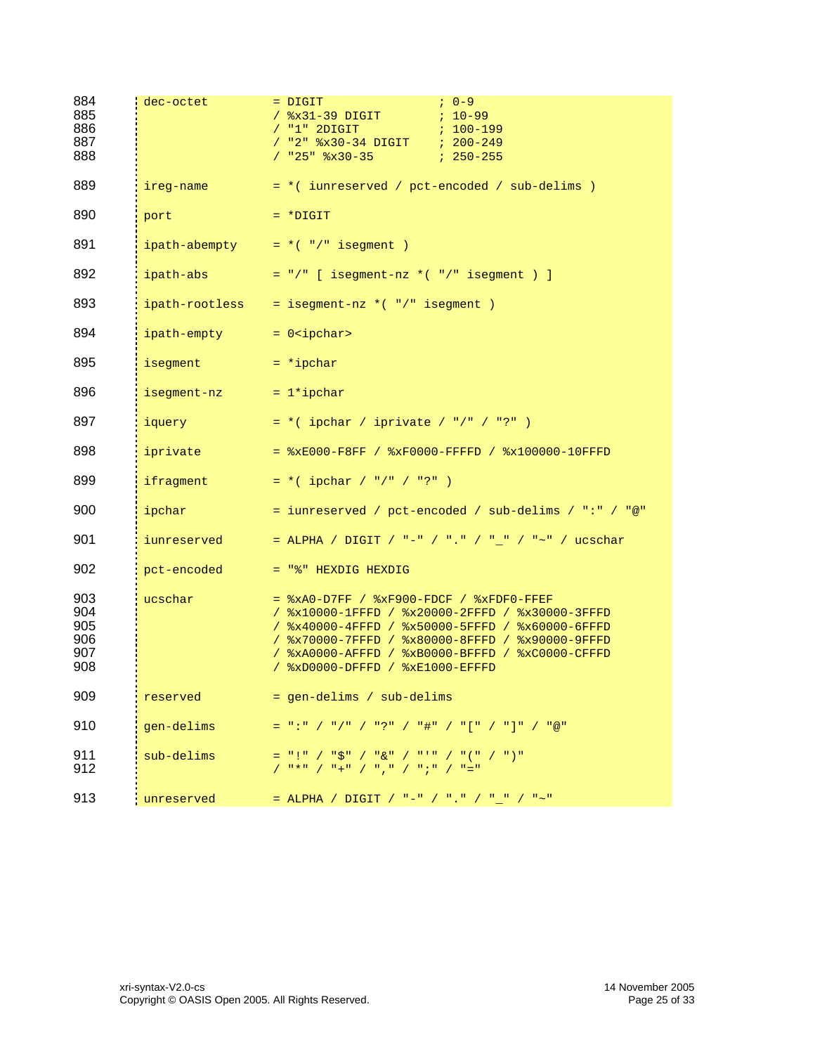| 884<br>885<br>886<br>887<br>888        | dec-octet      | $7.0 - 9$<br>$=$ $DIGIT$<br>$/$ $x31-39$ DIGIT<br>$7.10 - 99$<br>$/$ "1" 2DIGIT<br>$: 100 - 199$<br>/ "2" %x30-34 DIGIT ; 200-249<br>$/$ "25" $8x30-35$<br>$7250 - 255$                                                                                                                                                           |
|----------------------------------------|----------------|-----------------------------------------------------------------------------------------------------------------------------------------------------------------------------------------------------------------------------------------------------------------------------------------------------------------------------------|
| 889                                    | ireg-name      | $= *$ ( iunreserved / pct-encoded / sub-delims )                                                                                                                                                                                                                                                                                  |
| 890                                    | port           | $= *$ DIGIT                                                                                                                                                                                                                                                                                                                       |
| 891                                    |                | ipath-abempty $= *$ ( $*/"$ isegment)                                                                                                                                                                                                                                                                                             |
| 892                                    | ipath-abs      | = "/" [ isegment-nz *( "/" isegment ) ]                                                                                                                                                                                                                                                                                           |
| 893                                    | ipath-rootless | $=$ isegment-nz $*($ "/" isegment )                                                                                                                                                                                                                                                                                               |
| 894                                    | ipath-empty    | $= 0$ <ipchar></ipchar>                                                                                                                                                                                                                                                                                                           |
| 895                                    | isegment       | $= *ipchar$                                                                                                                                                                                                                                                                                                                       |
| 896                                    | isegment-nz    | $= 1*ipchar$                                                                                                                                                                                                                                                                                                                      |
| 897                                    | iquery         | $= *$ ( ipchar / iprivate / "/" / "?" )                                                                                                                                                                                                                                                                                           |
| 898                                    | iprivate       | $=$ $xE000-F8FF$ / $xF0000-FFFFD$ / $x100000-10FFFD$                                                                                                                                                                                                                                                                              |
| 899                                    | ifragment      | $= *$ ( ipchar / "/" / "?" )                                                                                                                                                                                                                                                                                                      |
| 900                                    | ipchar         | = iunreserved / pct-encoded / sub-delims / ":" / "@"                                                                                                                                                                                                                                                                              |
| 901                                    | iunreserved    | = ALPHA / DIGIT / "-" / "." / "_" / "~" / ucschar                                                                                                                                                                                                                                                                                 |
| 902                                    | pct-encoded    | $=$ "%" HEXDIG HEXDIG                                                                                                                                                                                                                                                                                                             |
| 903<br>904<br>905<br>906<br>907<br>908 | ucschar        | $=$ $xA0-D7FF$ / $xF900-FDCF$ / $xFDF0-FFFF$<br>/ %x10000-1FFFD / %x20000-2FFFD / %x30000-3FFFD<br>/ %x40000-4FFFD / %x50000-5FFFD / %x60000-6FFFD<br>/ %x70000-7FFFD / %x80000-8FFFD / %x90000-9FFFD<br>/ %xA0000-AFFFD / %xB0000-BFFFD / %xC0000-CFFFD<br>/ %xD0000-DFFFD / %xE1000-EFFFD                                       |
| 909                                    | reserved       | = gen-delims / sub-delims                                                                                                                                                                                                                                                                                                         |
| 910                                    | gen-delims     | $=$ ":" / "/" / "?" / "#" / "[" / "]" / "@"                                                                                                                                                                                                                                                                                       |
| 911<br>912                             | sub-delims     | $=$ "!" / "\$" / "&" / "'" / "(" / ")"<br>$\left( \begin{array}{cc} -n\,\ast\,n & / & n+1 \\ \end{array} \right) \left( \begin{array}{cc} -n\,\ast\,n & / & n \\ \end{array} \right) \left( \begin{array}{cc} -n\,\ast\,n & / & n+1 \\ \end{array} \right) \left( \begin{array}{cc} -n\,\ast\,n & / & n+1 \\ \end{array} \right)$ |
| 913                                    | unreserved     | = ALPHA / DIGIT / "-" / "." / "_" / "~"                                                                                                                                                                                                                                                                                           |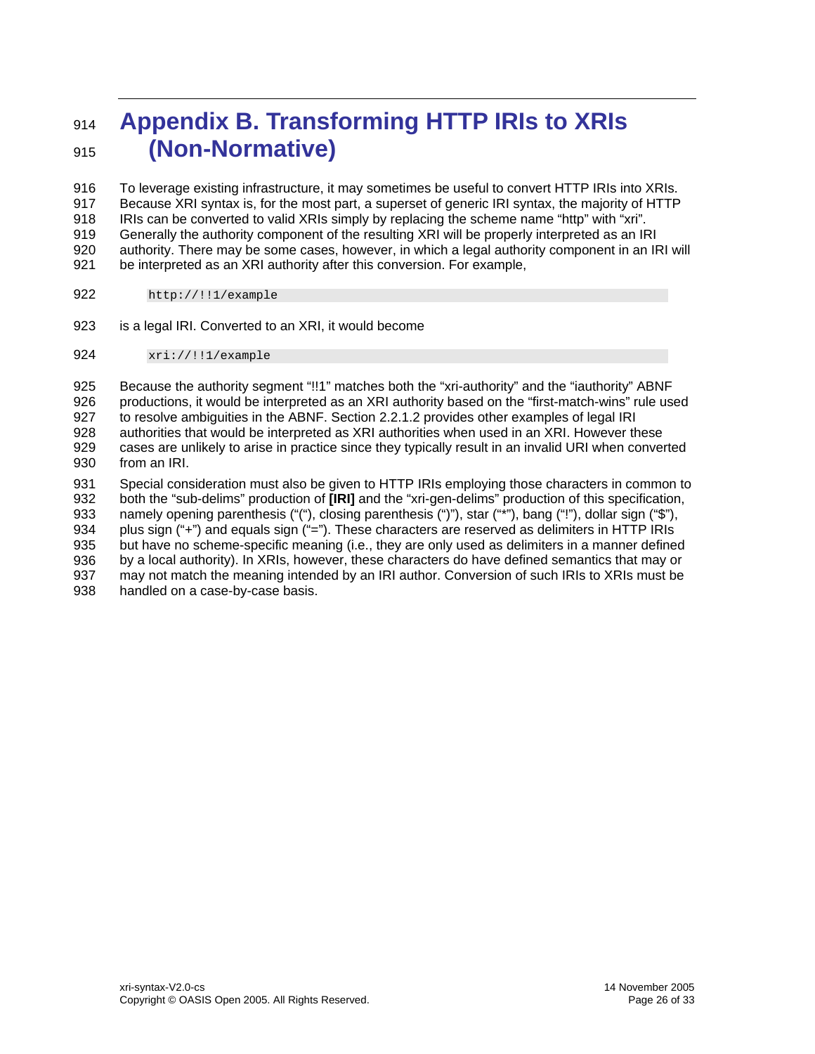# <span id="page-25-0"></span><sup>914</sup>**Appendix B. Transforming HTTP IRIs to XRIs**  915 **(Non-Normative)**

916 917 918 919 920 921 To leverage existing infrastructure, it may sometimes be useful to convert HTTP IRIs into XRIs. Because XRI syntax is, for the most part, a superset of generic IRI syntax, the majority of HTTP IRIs can be converted to valid XRIs simply by replacing the scheme name "http" with "xri". Generally the authority component of the resulting XRI will be properly interpreted as an IRI authority. There may be some cases, however, in which a legal authority component in an IRI will be interpreted as an XRI authority after this conversion. For example,

- 922 http://!!1/example
- 923 is a legal IRI. Converted to an XRI, it would become
- 924 xri://!!1/example

925 926 927 928 929 930 931 Because the authority segment "!!1" matches both the "xri-authority" and the "iauthority" ABNF productions, it would be interpreted as an XRI authority based on the "first-match-wins" rule used to resolve ambiguities in the ABNF. Section [2.2.1.2](#page-10-3) provides other examples of legal IRI authorities that would be interpreted as XRI authorities when used in an XRI. However these cases are unlikely to arise in practice since they typically result in an invalid URI when converted from an IRI. Special consideration must also be given to HTTP IRIs employing those characters in common to

932 933 934 935 936 937 938 both the "sub-delims" production of **[\[IRI\]](#page-21-3)** and the "xri-gen-delims" production of this specification, namely opening parenthesis ("("), closing parenthesis (")"), star ("\*"), bang ("!"), dollar sign ("\$"), plus sign ("+") and equals sign ("="). These characters are reserved as delimiters in HTTP IRIs but have no scheme-specific meaning (i.e., they are only used as delimiters in a manner defined by a local authority). In XRIs, however, these characters do have defined semantics that may or may not match the meaning intended by an IRI author. Conversion of such IRIs to XRIs must be handled on a case-by-case basis.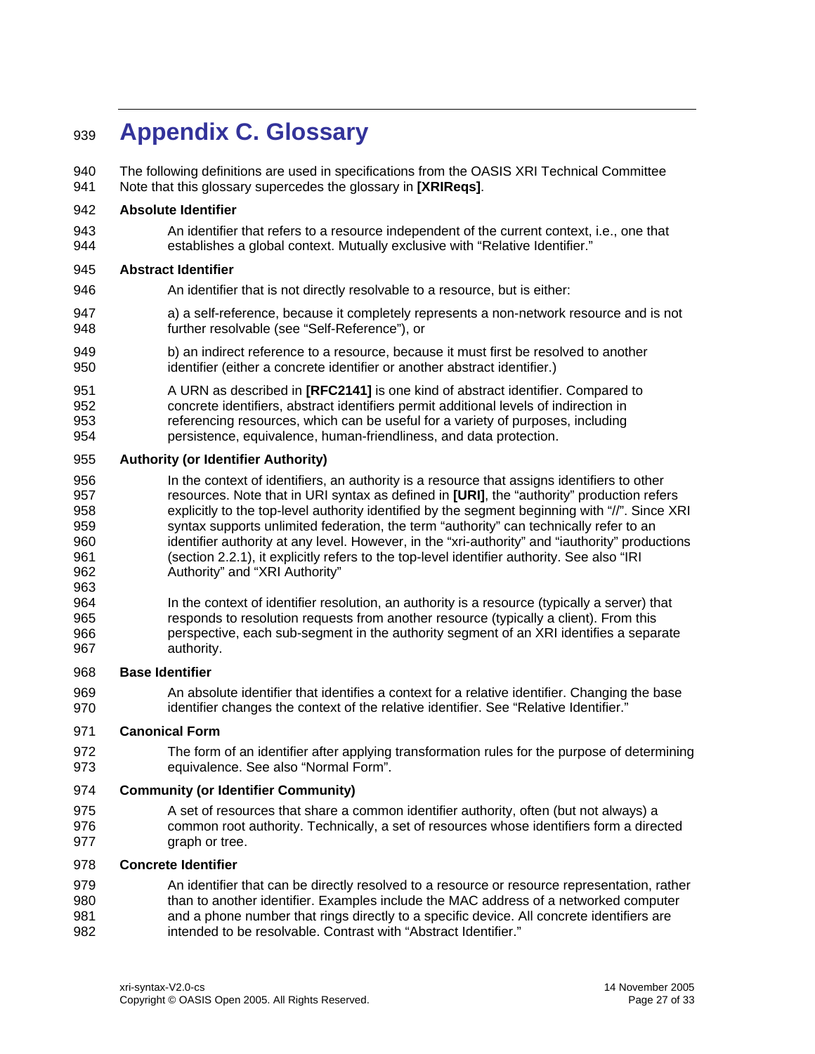# <span id="page-26-0"></span><sup>939</sup>**Appendix C. Glossary**

940 941 The following definitions are used in specifications from the OASIS XRI Technical Committee Note that this glossary supercedes the glossary in **[\[XRIReqs\]](#page-21-15)**.

### 942 **Absolute Identifier**

943 944 An identifier that refers to a resource independent of the current context, i.e., one that establishes a global context. Mutually exclusive with "Relative Identifier."

# 945 **Abstract Identifier**

- 946 An identifier that is not directly resolvable to a resource, but is either:
- 947 948 a) a self-reference, because it completely represents a non-network resource and is not further resolvable (see "Self-Reference"), or
- 949 950 b) an indirect reference to a resource, because it must first be resolved to another identifier (either a concrete identifier or another abstract identifier.)
- 951 952 953 954 A URN as described in **[\[RFC2141\]](#page-21-4)** is one kind of abstract identifier. Compared to concrete identifiers, abstract identifiers permit additional levels of indirection in referencing resources, which can be useful for a variety of purposes, including persistence, equivalence, human-friendliness, and data protection.

### 955 **Authority (or Identifier Authority)**

- 956 957 958 959 960 961 962 In the context of identifiers, an authority is a resource that assigns identifiers to other resources. Note that in URI syntax as defined in **[\[URI\]](#page-21-2)**, the "authority" production refers explicitly to the top-level authority identified by the segment beginning with "//". Since XRI syntax supports unlimited federation, the term "authority" can technically refer to an identifier authority at any level. However, in the "xri-authority" and "iauthority" productions (section [2.2.1](#page-9-2)), it explicitly refers to the top-level identifier authority. See also "IRI Authority" and "XRI Authority"
- 964 965 966 967 In the context of identifier resolution, an authority is a resource (typically a server) that responds to resolution requests from another resource (typically a client). From this perspective, each sub-segment in the authority segment of an XRI identifies a separate authority.

#### 968 **Base Identifier**

963

969 970 An absolute identifier that identifies a context for a relative identifier. Changing the base identifier changes the context of the relative identifier. See "Relative Identifier."

#### 971 **Canonical Form**

972 973 The form of an identifier after applying transformation rules for the purpose of determining equivalence. See also "Normal Form".

# 974 **Community (or Identifier Community)**

975 976 977 A set of resources that share a common identifier authority, often (but not always) a common root authority. Technically, a set of resources whose identifiers form a directed graph or tree.

#### 978 **Concrete Identifier**

979 980 981 982 An identifier that can be directly resolved to a resource or resource representation, rather than to another identifier. Examples include the MAC address of a networked computer and a phone number that rings directly to a specific device. All concrete identifiers are intended to be resolvable. Contrast with "Abstract Identifier."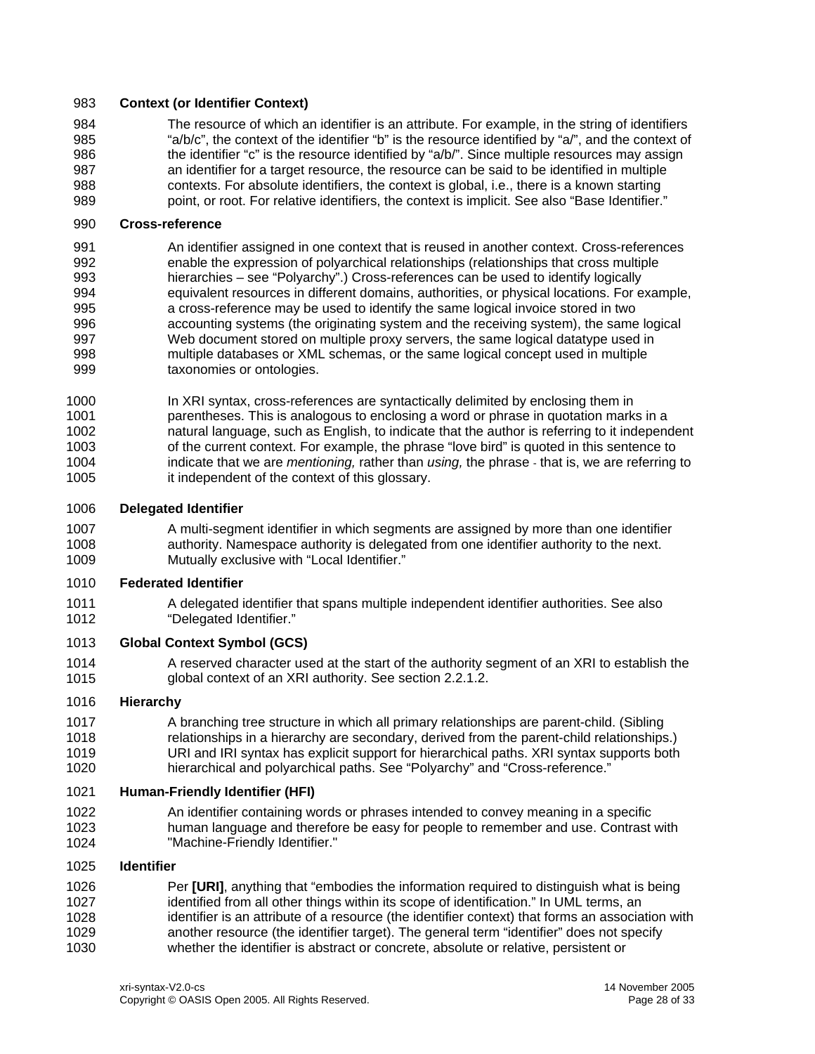# 983 **Context (or Identifier Context)**

984 985 986 987 988 989 The resource of which an identifier is an attribute. For example, in the string of identifiers "a/b/c", the context of the identifier "b" is the resource identified by "a/", and the context of the identifier "c" is the resource identified by "a/b/". Since multiple resources may assign an identifier for a target resource, the resource can be said to be identified in multiple contexts. For absolute identifiers, the context is global, i.e., there is a known starting point, or root. For relative identifiers, the context is implicit. See also "Base Identifier."

### 990 **Cross-reference**

991 992 993 994 995 996 997 998 999 An identifier assigned in one context that is reused in another context. Cross-references enable the expression of polyarchical relationships (relationships that cross multiple hierarchies – see "Polyarchy".) Cross-references can be used to identify logically equivalent resources in different domains, authorities, or physical locations. For example, a cross-reference may be used to identify the same logical invoice stored in two accounting systems (the originating system and the receiving system), the same logical Web document stored on multiple proxy servers, the same logical datatype used in multiple databases or XML schemas, or the same logical concept used in multiple taxonomies or ontologies.

1000 1001 1002 1003 1004 1005 In XRI syntax, cross-references are syntactically delimited by enclosing them in parentheses. This is analogous to enclosing a word or phrase in quotation marks in a natural language, such as English, to indicate that the author is referring to it independent of the current context. For example, the phrase "love bird" is quoted in this sentence to indicate that we are *mentioning,* rather than *using,* the phrase - that is, we are referring to it independent of the context of this glossary.

#### 1006 **Delegated Identifier**

1007 1008 1009 A multi-segment identifier in which segments are assigned by more than one identifier authority. Namespace authority is delegated from one identifier authority to the next. Mutually exclusive with "Local Identifier."

#### 1010 **Federated Identifier**

1011 1012 A delegated identifier that spans multiple independent identifier authorities. See also "Delegated Identifier."

#### 1013 **Global Context Symbol (GCS)**

1014 1015 A reserved character used at the start of the authority segment of an XRI to establish the global context of an XRI authority. See section [2.2.1.2](#page-9-1).

# 1016 **Hierarchy**

1017 1018 1019 1020 A branching tree structure in which all primary relationships are parent-child. (Sibling relationships in a hierarchy are secondary, derived from the parent-child relationships.) URI and IRI syntax has explicit support for hierarchical paths. XRI syntax supports both hierarchical and polyarchical paths. See "Polyarchy" and "Cross-reference."

#### 1021 **Human-Friendly Identifier (HFI)**

1022 1023 1024 An identifier containing words or phrases intended to convey meaning in a specific human language and therefore be easy for people to remember and use. Contrast with "Machine-Friendly Identifier."

# 1025 **Identifier**

1026 1027 1028 1029 1030 Per **[\[URI\]](#page-21-2)**, anything that "embodies the information required to distinguish what is being identified from all other things within its scope of identification." In UML terms, an identifier is an attribute of a resource (the identifier context) that forms an association with another resource (the identifier target). The general term "identifier" does not specify whether the identifier is abstract or concrete, absolute or relative, persistent or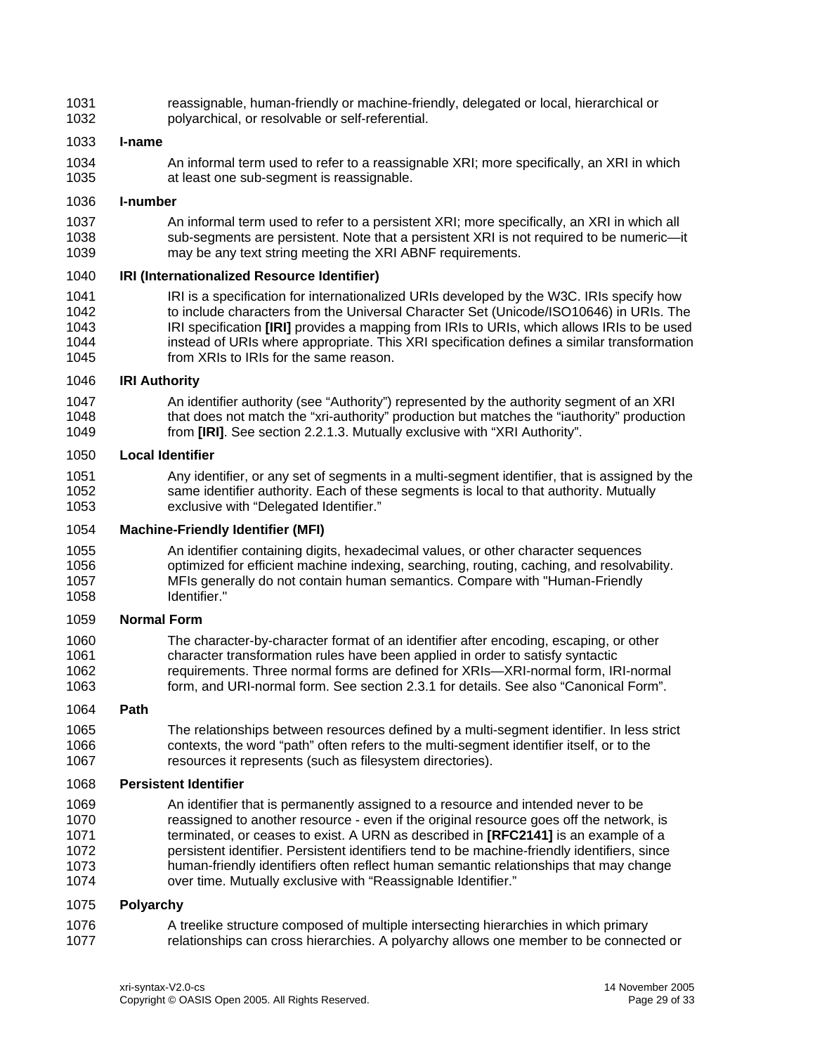1031 1032 reassignable, human-friendly or machine-friendly, delegated or local, hierarchical or polyarchical, or resolvable or self-referential.

### 1033 **I-name**

1034 1035 An informal term used to refer to a reassignable XRI; more specifically, an XRI in which at least one sub-segment is reassignable.

### 1036 **I-number**

1037 1038 1039 An informal term used to refer to a persistent XRI; more specifically, an XRI in which all sub-segments are persistent. Note that a persistent XRI is not required to be numeric—it may be any text string meeting the XRI ABNF requirements.

### 1040 **IRI (Internationalized Resource Identifier)**

1041 1042 1043 1044 1045 IRI is a specification for internationalized URIs developed by the W3C. IRIs specify how to include characters from the Universal Character Set (Unicode/ISO10646) in URIs. The IRI specification **[\[IRI\]](#page-21-3)** provides a mapping from IRIs to URIs, which allows IRIs to be used instead of URIs where appropriate. This XRI specification defines a similar transformation from XRIs to IRIs for the same reason.

# 1046 **IRI Authority**

1047 1048 1049 An identifier authority (see "Authority") represented by the authority segment of an XRI that does not match the "xri-authority" production but matches the "iauthority" production from **[\[IRI\]](#page-21-3)**. See section [2.2.1.3](#page-10-2). Mutually exclusive with "XRI Authority".

### 1050 **Local Identifier**

1051 1052 1053 Any identifier, or any set of segments in a multi-segment identifier, that is assigned by the same identifier authority. Each of these segments is local to that authority. Mutually exclusive with "Delegated Identifier."

### 1054 **Machine-Friendly Identifier (MFI)**

1055 1056 1057 1058 An identifier containing digits, hexadecimal values, or other character sequences optimized for efficient machine indexing, searching, routing, caching, and resolvability. MFIs generally do not contain human semantics. Compare with "Human-Friendly Identifier."

# 1059 **Normal Form**

1060 1061 1062 1063 The character-by-character format of an identifier after encoding, escaping, or other character transformation rules have been applied in order to satisfy syntactic requirements. Three normal forms are defined for XRIs—XRI-normal form, IRI-normal form, and URI-normal form. See section [2.3.1](#page-12-1) for details. See also "Canonical Form".

#### 1064 **Path**

1065 1066 1067 The relationships between resources defined by a multi-segment identifier. In less strict contexts, the word "path" often refers to the multi-segment identifier itself, or to the resources it represents (such as filesystem directories).

# 1068 **Persistent Identifier**

1069 1070 1071 1072 1073 1074 An identifier that is permanently assigned to a resource and intended never to be reassigned to another resource - even if the original resource goes off the network, is terminated, or ceases to exist. A URN as described in **[\[RFC2141\]](#page-21-4)** is an example of a persistent identifier. Persistent identifiers tend to be machine-friendly identifiers, since human-friendly identifiers often reflect human semantic relationships that may change over time. Mutually exclusive with "Reassignable Identifier."

#### 1075 **Polyarchy**

1076 1077 A treelike structure composed of multiple intersecting hierarchies in which primary relationships can cross hierarchies. A polyarchy allows one member to be connected or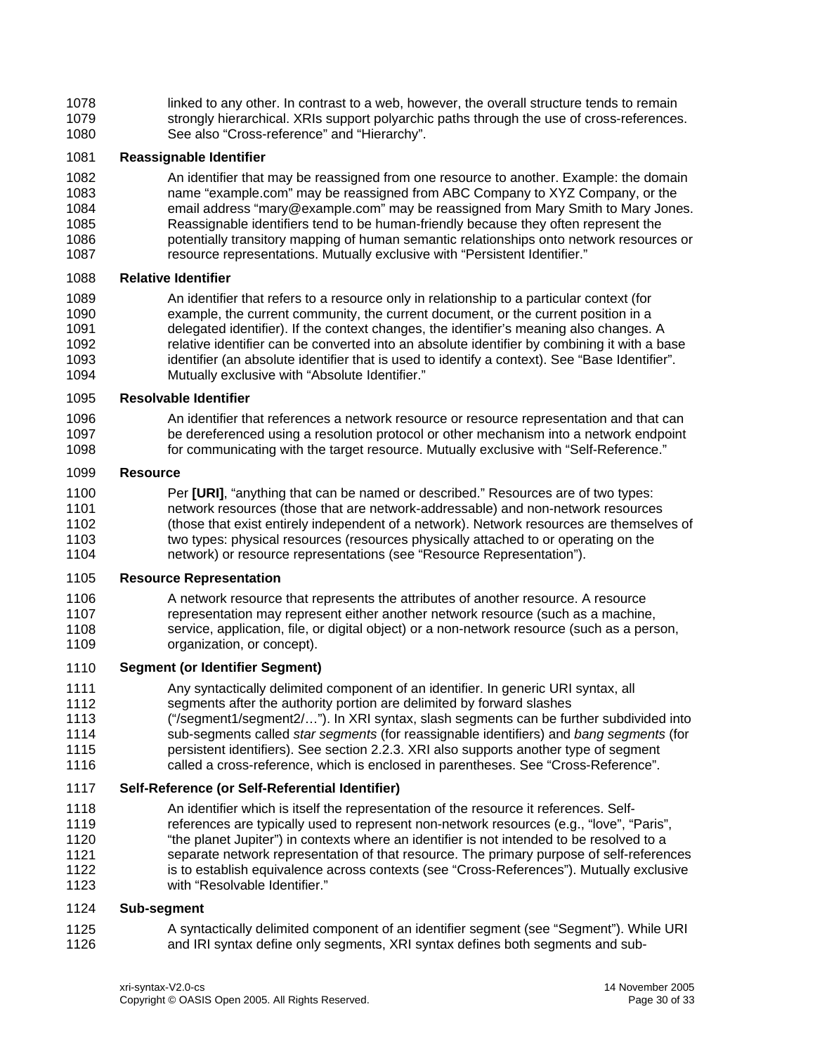1078 1079 1080 linked to any other. In contrast to a web, however, the overall structure tends to remain strongly hierarchical. XRIs support polyarchic paths through the use of cross-references. See also "Cross-reference" and "Hierarchy".

# 1081 **Reassignable Identifier**

1082 1083 1084 1085 1086 1087 An identifier that may be reassigned from one resource to another. Example: the domain name "example.com" may be reassigned from ABC Company to XYZ Company, or the email address "mary@example.com" may be reassigned from Mary Smith to Mary Jones. Reassignable identifiers tend to be human-friendly because they often represent the potentially transitory mapping of human semantic relationships onto network resources or resource representations. Mutually exclusive with "Persistent Identifier."

# 1088 **Relative Identifier**

1089 1090 1091 1092 1093 1094 An identifier that refers to a resource only in relationship to a particular context (for example, the current community, the current document, or the current position in a delegated identifier). If the context changes, the identifier's meaning also changes. A relative identifier can be converted into an absolute identifier by combining it with a base identifier (an absolute identifier that is used to identify a context). See "Base Identifier". Mutually exclusive with "Absolute Identifier."

# 1095 **Resolvable Identifier**

1096 1097 1098 An identifier that references a network resource or resource representation and that can be dereferenced using a resolution protocol or other mechanism into a network endpoint for communicating with the target resource. Mutually exclusive with "Self-Reference."

# 1099 **Resource**

1100 1101 1102 1103 1104 Per **[\[URI\]](#page-21-2)**, "anything that can be named or described." Resources are of two types: network resources (those that are network-addressable) and non-network resources (those that exist entirely independent of a network). Network resources are themselves of two types: physical resources (resources physically attached to or operating on the network) or resource representations (see "Resource Representation").

# 1105 **Resource Representation**

1106 1107 1108 1109 A network resource that represents the attributes of another resource. A resource representation may represent either another network resource (such as a machine, service, application, file, or digital object) or a non-network resource (such as a person, organization, or concept).

# 1110 **Segment (or Identifier Segment)**

1111 1112 1113 1114 1115 1116 Any syntactically delimited component of an identifier. In generic URI syntax, all segments after the authority portion are delimited by forward slashes ("/segment1/segment2/…"). In XRI syntax, slash segments can be further subdivided into sub-segments called *star segments* (for reassignable identifiers) and *bang segments* (for persistent identifiers). See section [2.2.3](#page-11-1). XRI also supports another type of segment called a cross-reference, which is enclosed in parentheses. See "Cross-Reference".

# 1117 **Self-Reference (or Self-Referential Identifier)**

- 1118 1119 1120 1121 1122 An identifier which is itself the representation of the resource it references. Selfreferences are typically used to represent non-network resources (e.g., "love", "Paris", "the planet Jupiter") in contexts where an identifier is not intended to be resolved to a separate network representation of that resource. The primary purpose of self-references is to establish equivalence across contexts (see "Cross-References"). Mutually exclusive
- 1123 with "Resolvable Identifier."

# 1124 **Sub-segment**

1125 1126 A syntactically delimited component of an identifier segment (see "Segment"). While URI and IRI syntax define only segments, XRI syntax defines both segments and sub-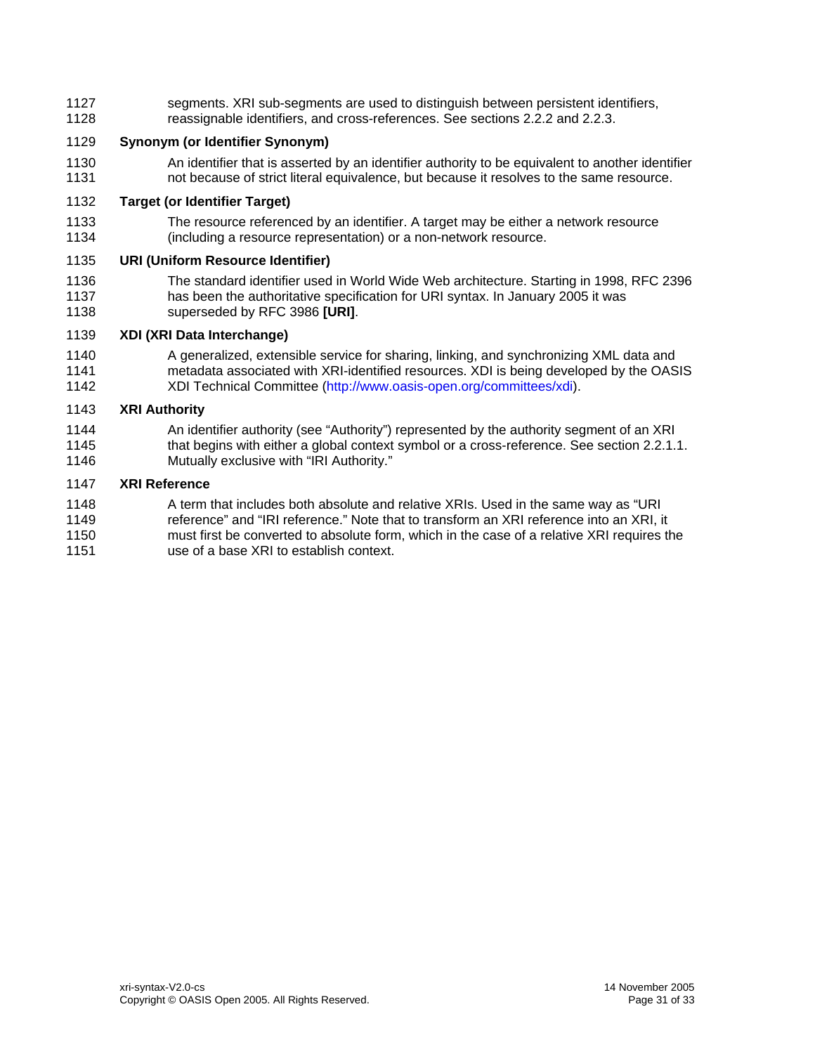segments. XRI sub-segments are used to distinguish between persistent identifiers, reassignable identifiers, and cross-references. See sections [2.2.2](#page-10-1) and [2.2.3](#page-11-1). 1127 1128

# 1129 **Synonym (or Identifier Synonym)**

1130 1131 An identifier that is asserted by an identifier authority to be equivalent to another identifier not because of strict literal equivalence, but because it resolves to the same resource.

# 1132 **Target (or Identifier Target)**

1133 1134 The resource referenced by an identifier. A target may be either a network resource (including a resource representation) or a non-network resource.

# 1135 **URI (Uniform Resource Identifier)**

1136 1137 1138 The standard identifier used in World Wide Web architecture. Starting in 1998, RFC 2396 has been the authoritative specification for URI syntax. In January 2005 it was superseded by RFC 3986 **[\[URI\]](#page-21-2)**.

# 1139 **XDI (XRI Data Interchange)**

1140 1141 1142 A generalized, extensible service for sharing, linking, and synchronizing XML data and metadata associated with XRI-identified resources. XDI is being developed by the OASIS XDI Technical Committee [\(http://www.oasis-open.org/committees/xdi\)](http://www.oasis-open.org/committees/xdi).

# 1143 **XRI Authority**

1144 1145 1146 An identifier authority (see "Authority") represented by the authority segment of an XRI that begins with either a global context symbol or a cross-reference. See section [2.2.1.1](#page-9-3). Mutually exclusive with "IRI Authority."

# 1147 **XRI Reference**

1148 1149 1150 1151 A term that includes both absolute and relative XRIs. Used in the same way as "URI reference" and "IRI reference." Note that to transform an XRI reference into an XRI, it must first be converted to absolute form, which in the case of a relative XRI requires the use of a base XRI to establish context.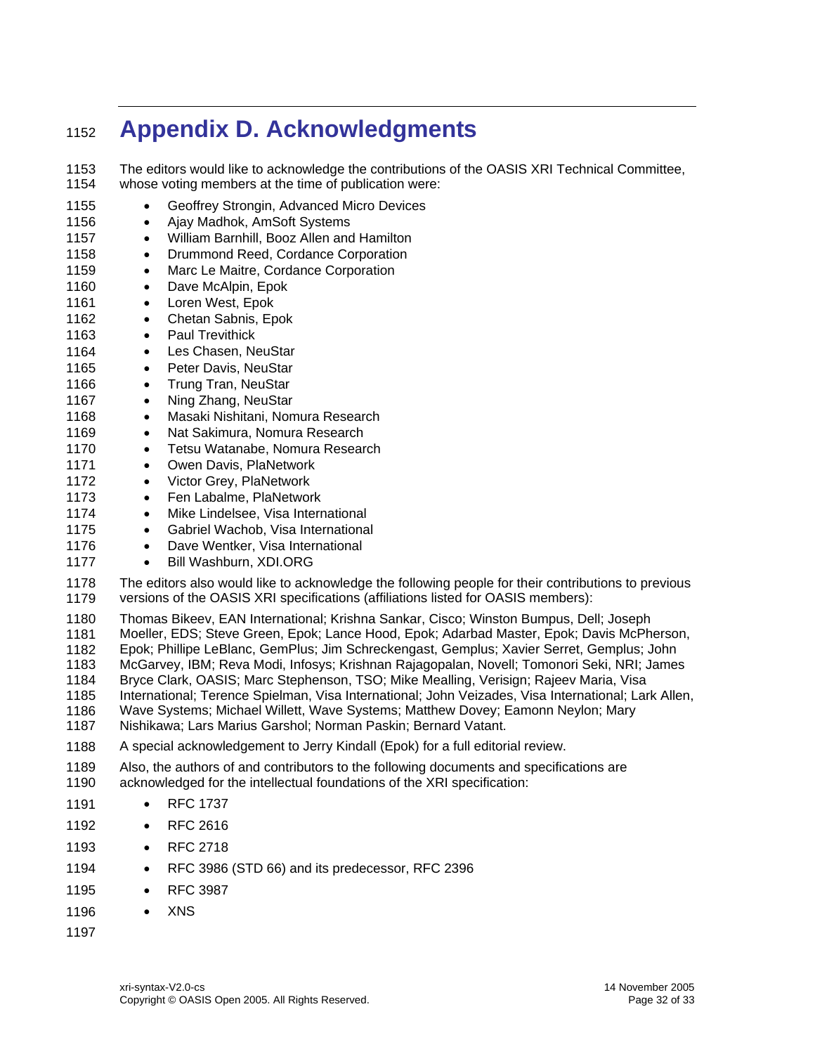# <span id="page-31-0"></span><sup>1152</sup>**Appendix D. Acknowledgments**

1153 1154 The editors would like to acknowledge the contributions of the OASIS XRI Technical Committee, whose voting members at the time of publication were:

1155 1156 1157 1158 1159 1160 1161 1162 1163 1164 1165 1166 1167 1168 1169 1170 1171 1172 1173 1174 1175 1176 1177 1178 1179 1180 1181 1182 1183 1184 1185 1186 1187 1188 1189 1190 1191 1192 1193 1194 1195 1196 1197 • Geoffrey Strongin, Advanced Micro Devices • Ajay Madhok, AmSoft Systems • William Barnhill, Booz Allen and Hamilton • Drummond Reed, Cordance Corporation • Marc Le Maitre, Cordance Corporation • Dave McAlpin, Epok • Loren West, Epok • Chetan Sabnis, Epok • Paul Trevithick • Les Chasen, NeuStar • Peter Davis, NeuStar • Trung Tran, NeuStar • Ning Zhang, NeuStar • Masaki Nishitani, Nomura Research • Nat Sakimura, Nomura Research • Tetsu Watanabe, Nomura Research • Owen Davis, PlaNetwork • Victor Grey, PlaNetwork • Fen Labalme, PlaNetwork • Mike Lindelsee, Visa International • Gabriel Wachob, Visa International • Dave Wentker, Visa International • Bill Washburn, XDI.ORG The editors also would like to acknowledge the following people for their contributions to previous versions of the OASIS XRI specifications (affiliations listed for OASIS members): Thomas Bikeev, EAN International; Krishna Sankar, Cisco; Winston Bumpus, Dell; Joseph Moeller, EDS; Steve Green, Epok; Lance Hood, Epok; Adarbad Master, Epok; Davis McPherson, Epok; Phillipe LeBlanc, GemPlus; Jim Schreckengast, Gemplus; Xavier Serret, Gemplus; John McGarvey, IBM; Reva Modi, Infosys; Krishnan Rajagopalan, Novell; Tomonori Seki, NRI; James Bryce Clark, OASIS; Marc Stephenson, TSO; Mike Mealling, Verisign; Rajeev Maria, Visa International; Terence Spielman, Visa International; John Veizades, Visa International; Lark Allen, Wave Systems; Michael Willett, Wave Systems; Matthew Dovey; Eamonn Neylon; Mary Nishikawa; Lars Marius Garshol; Norman Paskin; Bernard Vatant. A special acknowledgement to Jerry Kindall (Epok) for a full editorial review. Also, the authors of and contributors to the following documents and specifications are acknowledged for the intellectual foundations of the XRI specification: • RFC 1737 • RFC 2616 • RFC 2718 • RFC 3986 (STD 66) and its predecessor, RFC 2396 • RFC 3987 • XNS